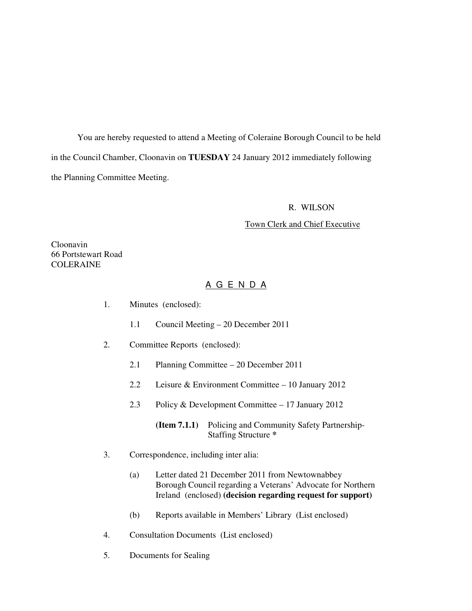You are hereby requested to attend a Meeting of Coleraine Borough Council to be held in the Council Chamber, Cloonavin on **TUESDAY** 24 January 2012 immediately following the Planning Committee Meeting.

#### R. WILSON

### Town Clerk and Chief Executive

Cloonavin 66 Portstewart Road **COLERAINE** 

# A G E N D A

- 1. Minutes (enclosed):
	- 1.1 Council Meeting 20 December 2011
- 2. Committee Reports (enclosed):
	- 2.1 Planning Committee 20 December 2011
	- 2.2 Leisure & Environment Committee 10 January 2012
	- 2.3 Policy & Development Committee 17 January 2012

 **(Item 7.1.1)** Policing and Community Safety Partnership- Staffing Structure **\*** 

- 3. Correspondence, including inter alia:
	- (a) Letter dated 21 December 2011 from Newtownabbey Borough Council regarding a Veterans' Advocate for Northern Ireland (enclosed) **(decision regarding request for support)**
	- (b) Reports available in Members' Library (List enclosed)
- 4. Consultation Documents (List enclosed)
- 5. Documents for Sealing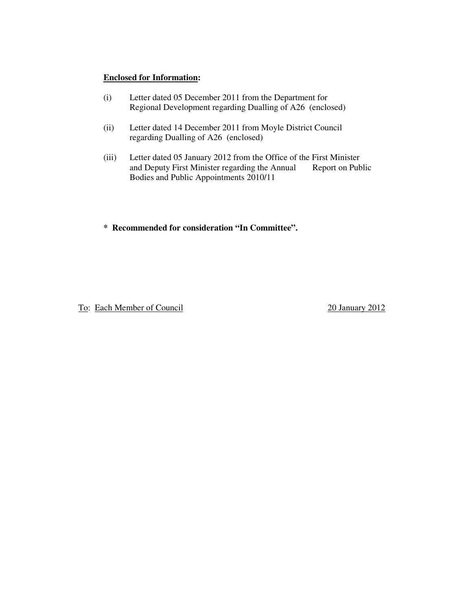#### **Enclosed for Information:**

- (i) Letter dated 05 December 2011 from the Department for Regional Development regarding Dualling of A26 (enclosed)
- (ii) Letter dated 14 December 2011 from Moyle District Council regarding Dualling of A26 (enclosed)
- (iii) Letter dated 05 January 2012 from the Office of the First Minister and Deputy First Minister regarding the Annual Report on Public Bodies and Public Appointments 2010/11
- **\* Recommended for consideration "In Committee".**

To: Each Member of Council 20 January 2012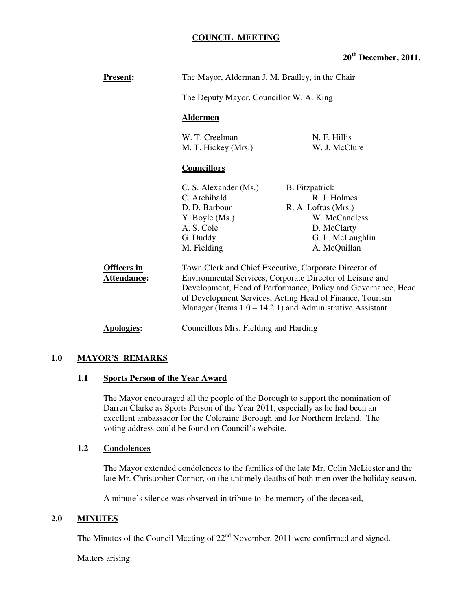## **COUNCIL MEETING**

# **20th December, 2011.**

| <b>Present:</b>                          | The Mayor, Alderman J. M. Bradley, in the Chair                                                                                                                                                                                                                                                                                                |                                                                                                                  |  |
|------------------------------------------|------------------------------------------------------------------------------------------------------------------------------------------------------------------------------------------------------------------------------------------------------------------------------------------------------------------------------------------------|------------------------------------------------------------------------------------------------------------------|--|
|                                          | The Deputy Mayor, Councillor W. A. King                                                                                                                                                                                                                                                                                                        |                                                                                                                  |  |
|                                          | <b>Aldermen</b>                                                                                                                                                                                                                                                                                                                                |                                                                                                                  |  |
|                                          | W. T. Creelman<br>M. T. Hickey (Mrs.)                                                                                                                                                                                                                                                                                                          | N. F. Hillis<br>W. J. McClure                                                                                    |  |
|                                          | <b>Councillors</b>                                                                                                                                                                                                                                                                                                                             |                                                                                                                  |  |
|                                          | C. S. Alexander (Ms.)<br>C. Archibald<br>D. D. Barbour<br>Y. Boyle (Ms.)<br>A. S. Cole<br>G. Duddy                                                                                                                                                                                                                                             | <b>B.</b> Fitzpatrick<br>R. J. Holmes<br>R. A. Loftus (Mrs.)<br>W. McCandless<br>D. McClarty<br>G. L. McLaughlin |  |
| <b>Officers in</b><br><b>Attendance:</b> | A. McQuillan<br>M. Fielding<br>Town Clerk and Chief Executive, Corporate Director of<br>Environmental Services, Corporate Director of Leisure and<br>Development, Head of Performance, Policy and Governance, Head<br>of Development Services, Acting Head of Finance, Tourism<br>Manager (Items $1.0 - 14.2.1$ ) and Administrative Assistant |                                                                                                                  |  |
| Apologies:                               | Councillors Mrs. Fielding and Harding                                                                                                                                                                                                                                                                                                          |                                                                                                                  |  |

#### **1.0 MAYOR'S REMARKS**

#### **1.1 Sports Person of the Year Award**

The Mayor encouraged all the people of the Borough to support the nomination of Darren Clarke as Sports Person of the Year 2011, especially as he had been an excellent ambassador for the Coleraine Borough and for Northern Ireland. The voting address could be found on Council's website.

#### **1.2 Condolences**

The Mayor extended condolences to the families of the late Mr. Colin McLiester and the late Mr. Christopher Connor, on the untimely deaths of both men over the holiday season.

A minute's silence was observed in tribute to the memory of the deceased,

## **2.0 MINUTES**

The Minutes of the Council Meeting of  $22<sup>nd</sup>$  November, 2011 were confirmed and signed.

Matters arising: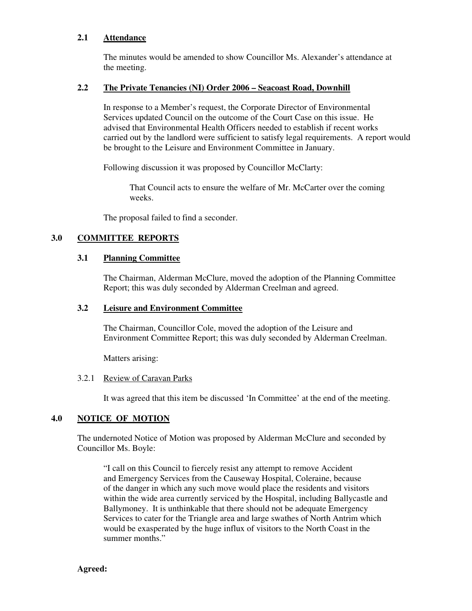#### **2.1 Attendance**

The minutes would be amended to show Councillor Ms. Alexander's attendance at the meeting.

# **2.2 The Private Tenancies (NI) Order 2006 – Seacoast Road, Downhill**

 In response to a Member's request, the Corporate Director of Environmental Services updated Council on the outcome of the Court Case on this issue. He advised that Environmental Health Officers needed to establish if recent works carried out by the landlord were sufficient to satisfy legal requirements. A report would be brought to the Leisure and Environment Committee in January.

Following discussion it was proposed by Councillor McClarty:

That Council acts to ensure the welfare of Mr. McCarter over the coming weeks.

The proposal failed to find a seconder.

# **3.0 COMMITTEE REPORTS**

# **3.1 Planning Committee**

The Chairman, Alderman McClure, moved the adoption of the Planning Committee Report; this was duly seconded by Alderman Creelman and agreed.

### **3.2 Leisure and Environment Committee**

 The Chairman, Councillor Cole, moved the adoption of the Leisure and Environment Committee Report; this was duly seconded by Alderman Creelman.

Matters arising:

# 3.2.1 Review of Caravan Parks

It was agreed that this item be discussed 'In Committee' at the end of the meeting.

# **4.0 NOTICE OF MOTION**

The undernoted Notice of Motion was proposed by Alderman McClure and seconded by Councillor Ms. Boyle:

"I call on this Council to fiercely resist any attempt to remove Accident and Emergency Services from the Causeway Hospital, Coleraine, because of the danger in which any such move would place the residents and visitors within the wide area currently serviced by the Hospital, including Ballycastle and Ballymoney. It is unthinkable that there should not be adequate Emergency Services to cater for the Triangle area and large swathes of North Antrim which would be exasperated by the huge influx of visitors to the North Coast in the summer months."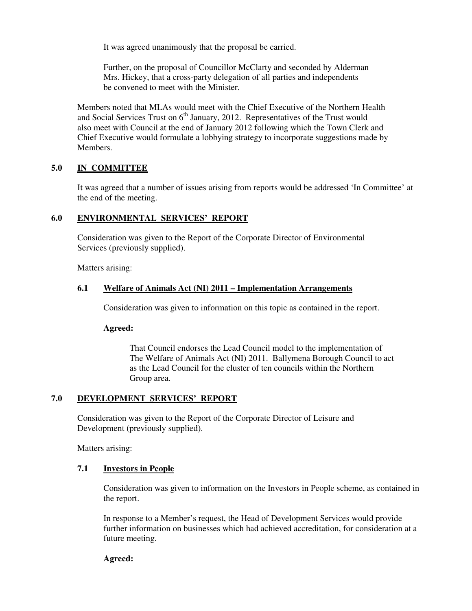It was agreed unanimously that the proposal be carried.

Further, on the proposal of Councillor McClarty and seconded by Alderman Mrs. Hickey, that a cross-party delegation of all parties and independents be convened to meet with the Minister.

 Members noted that MLAs would meet with the Chief Executive of the Northern Health and Social Services Trust on  $6<sup>th</sup>$  January, 2012. Representatives of the Trust would also meet with Council at the end of January 2012 following which the Town Clerk and Chief Executive would formulate a lobbying strategy to incorporate suggestions made by Members.

# **5.0 IN COMMITTEE**

It was agreed that a number of issues arising from reports would be addressed 'In Committee' at the end of the meeting.

# **6.0 ENVIRONMENTAL SERVICES' REPORT**

 Consideration was given to the Report of the Corporate Director of Environmental Services (previously supplied).

Matters arising:

# **6.1 Welfare of Animals Act (NI) 2011 – Implementation Arrangements**

Consideration was given to information on this topic as contained in the report.

#### **Agreed:**

 That Council endorses the Lead Council model to the implementation of The Welfare of Animals Act (NI) 2011. Ballymena Borough Council to act as the Lead Council for the cluster of ten councils within the Northern Group area.

#### **7.0 DEVELOPMENT SERVICES' REPORT**

Consideration was given to the Report of the Corporate Director of Leisure and Development (previously supplied).

Matters arising:

#### **7.1 Investors in People**

Consideration was given to information on the Investors in People scheme, as contained in the report.

In response to a Member's request, the Head of Development Services would provide further information on businesses which had achieved accreditation, for consideration at a future meeting.

#### **Agreed:**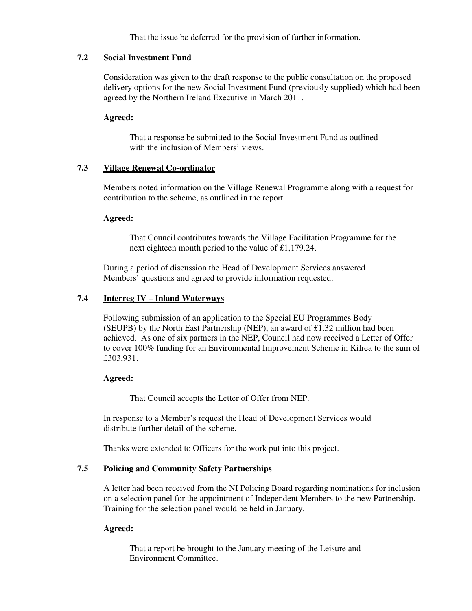That the issue be deferred for the provision of further information.

## **7.2 Social Investment Fund**

Consideration was given to the draft response to the public consultation on the proposed delivery options for the new Social Investment Fund (previously supplied) which had been agreed by the Northern Ireland Executive in March 2011.

### **Agreed:**

That a response be submitted to the Social Investment Fund as outlined with the inclusion of Members' views.

# **7.3 Village Renewal Co-ordinator**

Members noted information on the Village Renewal Programme along with a request for contribution to the scheme, as outlined in the report.

#### **Agreed:**

That Council contributes towards the Village Facilitation Programme for the next eighteen month period to the value of £1,179.24.

 During a period of discussion the Head of Development Services answered Members' questions and agreed to provide information requested.

# **7.4 Interreg IV – Inland Waterways**

Following submission of an application to the Special EU Programmes Body (SEUPB) by the North East Partnership (NEP), an award of  $\pounds$ 1.32 million had been achieved. As one of six partners in the NEP, Council had now received a Letter of Offer to cover 100% funding for an Environmental Improvement Scheme in Kilrea to the sum of £303,931.

# **Agreed:**

That Council accepts the Letter of Offer from NEP.

 In response to a Member's request the Head of Development Services would distribute further detail of the scheme.

Thanks were extended to Officers for the work put into this project.

# **7.5 Policing and Community Safety Partnerships**

A letter had been received from the NI Policing Board regarding nominations for inclusion on a selection panel for the appointment of Independent Members to the new Partnership. Training for the selection panel would be held in January.

#### **Agreed:**

That a report be brought to the January meeting of the Leisure and Environment Committee.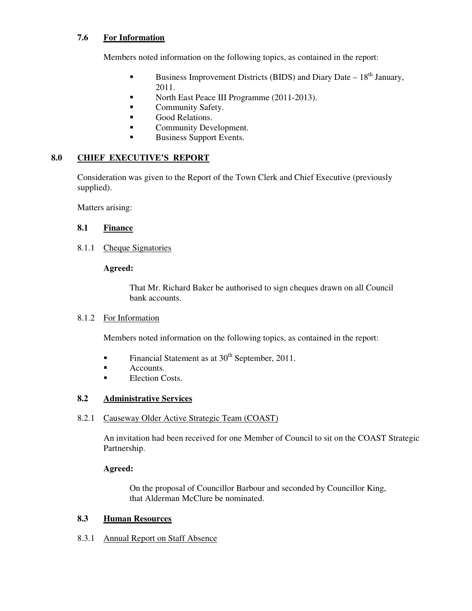# **7.6 For Information**

Members noted information on the following topics, as contained in the report:

- Business Improvement Districts (BIDS) and Diary Date  $-18<sup>th</sup>$  January, 2011.
- North East Peace III Programme (2011-2013).
- **Community Safety.**
- **Good Relations.**
- **Community Development.**
- Business Support Events.

# **8.0 CHIEF EXECUTIVE'S REPORT**

Consideration was given to the Report of the Town Clerk and Chief Executive (previously supplied).

Matters arising:

# **8.1 Finance**

8.1.1 Cheque Signatories

# **Agreed:**

That Mr. Richard Baker be authorised to sign cheques drawn on all Council bank accounts.

# 8.1.2 For Information

Members noted information on the following topics, as contained in the report:

- Financial Statement as at  $30<sup>th</sup>$  September, 2011.
- **E** Accounts.
- **Election Costs.**

# **8.2 Administrative Services**

#### 8.2.1 Causeway Older Active Strategic Team (COAST)

An invitation had been received for one Member of Council to sit on the COAST Strategic Partnership.

# **Agreed:**

On the proposal of Councillor Barbour and seconded by Councillor King, that Alderman McClure be nominated.

# **8.3 Human Resources**

8.3.1 Annual Report on Staff Absence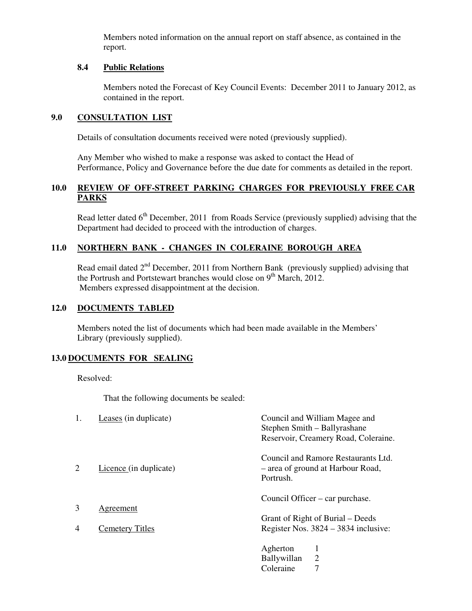Members noted information on the annual report on staff absence, as contained in the report.

### **8.4 Public Relations**

Members noted the Forecast of Key Council Events: December 2011 to January 2012, as contained in the report.

# **9.0 CONSULTATION LIST**

Details of consultation documents received were noted (previously supplied).

 Any Member who wished to make a response was asked to contact the Head of Performance, Policy and Governance before the due date for comments as detailed in the report.

# **10.0 REVIEW OF OFF-STREET PARKING CHARGES FOR PREVIOUSLY FREE CAR PARKS**

Read letter dated 6<sup>th</sup> December, 2011 from Roads Service (previously supplied) advising that the Department had decided to proceed with the introduction of charges.

# **11.0 NORTHERN BANK - CHANGES IN COLERAINE BOROUGH AREA**

Read email dated 2<sup>nd</sup> December, 2011 from Northern Bank (previously supplied) advising that the Portrush and Portstewart branches would close on 9<sup>th</sup> March, 2012. Members expressed disappointment at the decision.

### **12.0 DOCUMENTS TABLED**

Members noted the list of documents which had been made available in the Members' Library (previously supplied).

# **13.0 DOCUMENTS FOR SEALING**

Resolved:

That the following documents be sealed:

| 1.             | Leases (in duplicate)  | Council and William Magee and                                                         |
|----------------|------------------------|---------------------------------------------------------------------------------------|
|                |                        | Stephen Smith - Ballyrashane                                                          |
|                |                        | Reservoir, Creamery Road, Coleraine.                                                  |
| 2              | Licence (in duplicate) | Council and Ramore Restaurants Ltd.<br>- area of ground at Harbour Road,<br>Portrush. |
|                |                        | Council Officer – car purchase.                                                       |
| 3              | Agreement              |                                                                                       |
|                |                        | Grant of Right of Burial – Deeds                                                      |
| $\overline{4}$ | <b>Cemetery Titles</b> | Register Nos. $3824 - 3834$ inclusive:                                                |
|                |                        | Agherton                                                                              |
|                |                        | 2<br><b>Ballywillan</b>                                                               |
|                |                        | Coleraine                                                                             |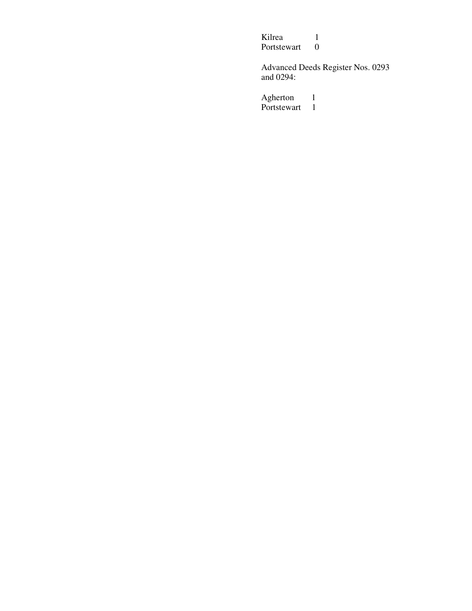Kilrea 1<br>Portstewart 0 Portstewart

Advanced Deeds Register Nos. 0293 and 0294:

Agherton 1 Portstewart 1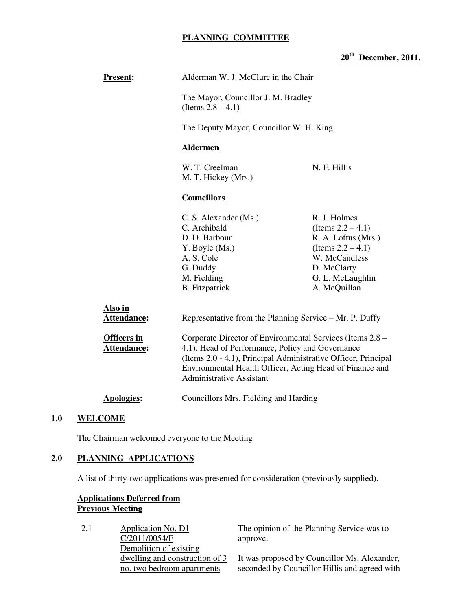# **PLANNING COMMITTEE**

# **20th December, 2011.**

| <b>Present:</b>                   | Alderman W. J. McClure in the Chair                                                                                                                                                                                                                                            |                                                                                                                                                         |  |
|-----------------------------------|--------------------------------------------------------------------------------------------------------------------------------------------------------------------------------------------------------------------------------------------------------------------------------|---------------------------------------------------------------------------------------------------------------------------------------------------------|--|
|                                   | The Mayor, Councillor J. M. Bradley<br>(Items $2.8 - 4.1$ )                                                                                                                                                                                                                    |                                                                                                                                                         |  |
|                                   | The Deputy Mayor, Councillor W. H. King                                                                                                                                                                                                                                        |                                                                                                                                                         |  |
|                                   | <b>Aldermen</b>                                                                                                                                                                                                                                                                |                                                                                                                                                         |  |
|                                   | W. T. Creelman<br>N. F. Hillis<br>M. T. Hickey (Mrs.)                                                                                                                                                                                                                          |                                                                                                                                                         |  |
|                                   | <b>Councillors</b>                                                                                                                                                                                                                                                             |                                                                                                                                                         |  |
|                                   | C. S. Alexander (Ms.)<br>C. Archibald<br>D. D. Barbour<br>Y. Boyle (Ms.)<br>A. S. Cole<br>G. Duddy<br>M. Fielding<br><b>B.</b> Fitzpatrick                                                                                                                                     | R. J. Holmes<br>(Items $2.2 - 4.1$ )<br>R. A. Loftus (Mrs.)<br>(Items $2.2 - 4.1$ )<br>W. McCandless<br>D. McClarty<br>G. L. McLaughlin<br>A. McQuillan |  |
| Also in<br>Attendance:            | Representative from the Planning Service – Mr. P. Duffy                                                                                                                                                                                                                        |                                                                                                                                                         |  |
| <b>Officers in</b><br>Attendance: | Corporate Director of Environmental Services (Items 2.8 –<br>4.1), Head of Performance, Policy and Governance<br>(Items 2.0 - 4.1), Principal Administrative Officer, Principal<br>Environmental Health Officer, Acting Head of Finance and<br><b>Administrative Assistant</b> |                                                                                                                                                         |  |
| <b>Apologies:</b>                 | Councillors Mrs. Fielding and Harding                                                                                                                                                                                                                                          |                                                                                                                                                         |  |

# **1.0 WELCOME**

The Chairman welcomed everyone to the Meeting

# **2.0 PLANNING APPLICATIONS**

A list of thirty-two applications was presented for consideration (previously supplied).

# **Applications Deferred from Previous Meeting**

| 2.1 | Application No. D1             | The opinion of the Planning Service was to    |
|-----|--------------------------------|-----------------------------------------------|
|     | C/2011/0054/F                  | approve.                                      |
|     | Demolition of existing         |                                               |
|     | dwelling and construction of 3 | It was proposed by Councillor Ms. Alexander,  |
|     | no. two bedroom apartments     | seconded by Councillor Hillis and agreed with |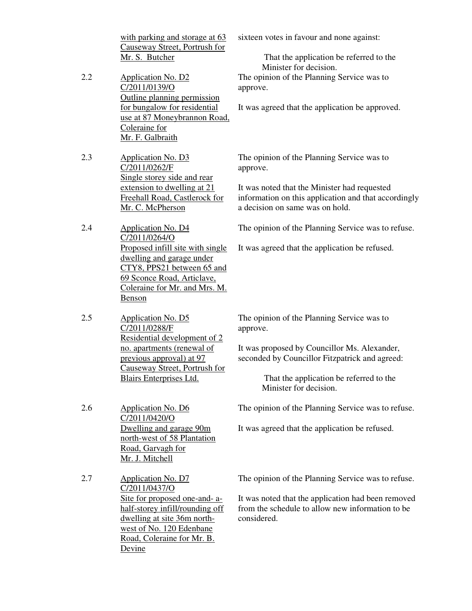with parking and storage at 63 Causeway Street, Portrush for Mr. S. Butcher sixteen votes in favour and none against: That the application be referred to the Minister for decision. 2.2 Application No. D2 C/2011/0139/O Outline planning permission for bungalow for residential use at 87 Moneybrannon Road, Coleraine for Mr. F. Galbraith The opinion of the Planning Service was to approve. It was agreed that the application be approved. 2.3 Application No. D3 C/2011/0262/F Single storey side and rear extension to dwelling at 21 Freehall Road, Castlerock for Mr. C. McPherson The opinion of the Planning Service was to approve. It was noted that the Minister had requested information on this application and that accordingly a decision on same was on hold. 2.4 Application No. D4 C/2011/0264/O Proposed infill site with single dwelling and garage under CTY8, PPS21 between 65 and 69 Sconce Road, Articlave, Coleraine for Mr. and Mrs. M. Benson The opinion of the Planning Service was to refuse. It was agreed that the application be refused. 2.5 Application No. D5 C/2011/0288/F Residential development of 2 no. apartments (renewal of previous approval) at 97 Causeway Street, Portrush for Blairs Enterprises Ltd. The opinion of the Planning Service was to approve. It was proposed by Councillor Ms. Alexander, seconded by Councillor Fitzpatrick and agreed: That the application be referred to the Minister for decision. 2.6 Application No. D6 C/2011/0420/O Dwelling and garage 90m north-west of 58 Plantation Road, Garvagh for Mr. J. Mitchell The opinion of the Planning Service was to refuse. It was agreed that the application be refused. 2.7 Application No. D7 C/2011/0437/O Site for proposed one-and- ahalf-storey infill/rounding off dwelling at site 36m northwest of No. 120 Edenbane Road, Coleraine for Mr. B. Devine The opinion of the Planning Service was to refuse. It was noted that the application had been removed from the schedule to allow new information to be considered.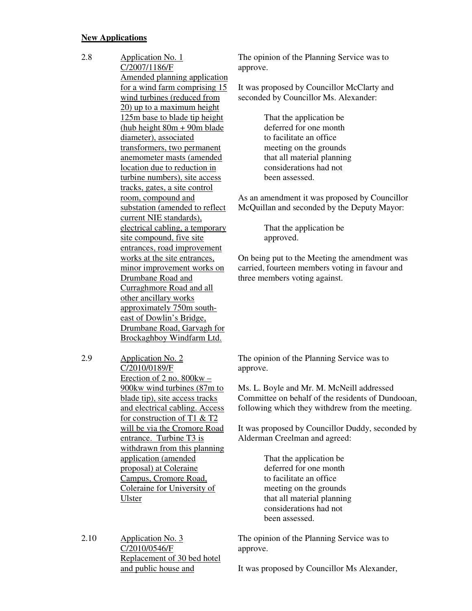#### **New Applications**

2.8 Application No. 1 C/2007/1186/F Amended planning application for a wind farm comprising 15 wind turbines (reduced from 20) up to a maximum height 125m base to blade tip height (hub height  $80m + 90m$  blade diameter), associated transformers, two permanent anemometer masts (amended location due to reduction in turbine numbers), site access tracks, gates, a site control room, compound and substation (amended to reflect current NIE standards), electrical cabling, a temporary site compound, five site entrances, road improvement works at the site entrances, minor improvement works on Drumbane Road and Curraghmore Road and all other ancillary works approximately 750m southeast of Dowlin's Bridge, Drumbane Road, Garvagh for Brockaghboy Windfarm Ltd.

2.9 Application No. 2 C/2010/0189/F Erection of 2 no. 800kw – 900kw wind turbines (87m to blade tip), site access tracks and electrical cabling. Access for construction of T1 & T2 will be via the Cromore Road entrance. Turbine T3 is withdrawn from this planning application (amended proposal) at Coleraine Campus, Cromore Road, Coleraine for University of Ulster

2.10 Application No. 3 C/2010/0546/F Replacement of 30 bed hotel and public house and

The opinion of the Planning Service was to approve.

It was proposed by Councillor McClarty and seconded by Councillor Ms. Alexander:

> That the application be deferred for one month to facilitate an office meeting on the grounds that all material planning considerations had not been assessed.

As an amendment it was proposed by Councillor McQuillan and seconded by the Deputy Mayor:

> That the application be approved.

On being put to the Meeting the amendment was carried, fourteen members voting in favour and three members voting against.

The opinion of the Planning Service was to approve.

Ms. L. Boyle and Mr. M. McNeill addressed Committee on behalf of the residents of Dundooan, following which they withdrew from the meeting.

It was proposed by Councillor Duddy, seconded by Alderman Creelman and agreed:

> That the application be deferred for one month to facilitate an office meeting on the grounds that all material planning considerations had not been assessed.

The opinion of the Planning Service was to approve.

It was proposed by Councillor Ms Alexander,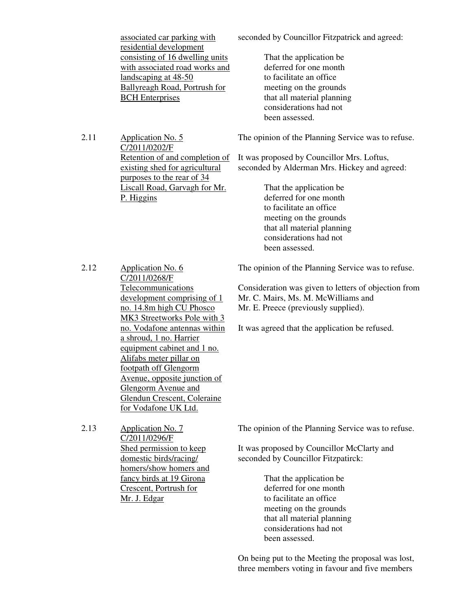associated car parking with residential development consisting of 16 dwelling units with associated road works and landscaping at 48-50 Ballyreagh Road, Portrush for BCH Enterprises

seconded by Councillor Fitzpatrick and agreed:

 That the application be deferred for one month to facilitate an office meeting on the grounds that all material planning considerations had not been assessed.

The opinion of the Planning Service was to refuse.

It was proposed by Councillor Mrs. Loftus, seconded by Alderman Mrs. Hickey and agreed:

> That the application be deferred for one month to facilitate an office meeting on the grounds that all material planning considerations had not been assessed.

2.12 Application No. 6 C/2011/0268/F Telecommunications development comprising of 1 no. 14.8m high CU Phosco MK3 Streetworks Pole with 3 no. Vodafone antennas within a shroud, 1 no. Harrier equipment cabinet and 1 no. Alifabs meter pillar on footpath off Glengorm Avenue, opposite junction of Glengorm Avenue and Glendun Crescent, Coleraine for Vodafone UK Ltd.

The opinion of the Planning Service was to refuse.

Consideration was given to letters of objection from Mr. C. Mairs, Ms. M. McWilliams and Mr. E. Preece (previously supplied).

It was agreed that the application be refused.

2.13 Application No. 7 C/2011/0296/F Shed permission to keep domestic birds/racing/ homers/show homers and fancy birds at 19 Girona Crescent, Portrush for Mr. J. Edgar

The opinion of the Planning Service was to refuse.

It was proposed by Councillor McClarty and seconded by Councillor Fitzpatirck:

> That the application be deferred for one month to facilitate an office meeting on the grounds that all material planning considerations had not been assessed.

On being put to the Meeting the proposal was lost, three members voting in favour and five members

C/2011/0202/F Retention of and completion of existing shed for agricultural purposes to the rear of 34 Liscall Road, Garvagh for Mr. P. Higgins

2.11 Application No. 5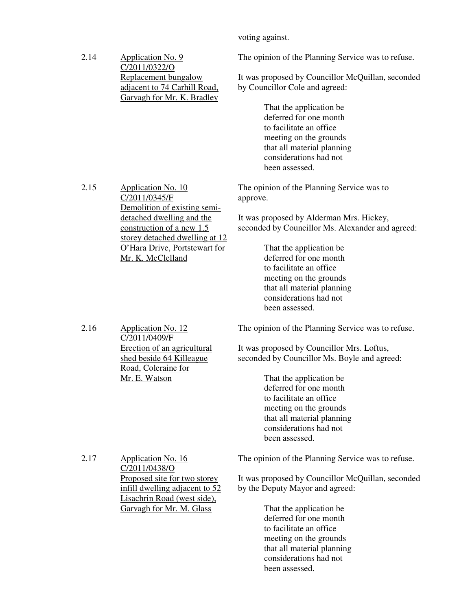voting against.

| 2.14 | Application No. 9<br>C/2011/0322/O                                                 | The opinion of the Planning Service was to refuse.                                  |
|------|------------------------------------------------------------------------------------|-------------------------------------------------------------------------------------|
|      | Replacement bungalow<br>adjacent to 74 Carhill Road,<br>Garvagh for Mr. K. Bradley | It was proposed by Councillor McQuillan, seconded<br>by Councillor Cole and agreed: |
|      |                                                                                    | That the application be                                                             |
|      |                                                                                    | deferred for one month                                                              |
|      |                                                                                    | to facilitate an office                                                             |
|      |                                                                                    | meeting on the grounds                                                              |
|      |                                                                                    | that all material planning                                                          |
|      |                                                                                    | considerations had not                                                              |
|      |                                                                                    | been assessed.                                                                      |
| 2.15 | Application No. 10<br>C/2011/0345/F<br>Demolition of existing semi-                | The opinion of the Planning Service was to<br>approve.                              |
|      | detached dwelling and the                                                          | It was proposed by Alderman Mrs. Hickey,                                            |
|      | construction of a new $1.5$                                                        | seconded by Councillor Ms. Alexander and agreed:                                    |
|      | storey detached dwelling at 12                                                     |                                                                                     |
|      | O'Hara Drive, Portstewart for<br>Mr. K. McClelland                                 | That the application be<br>deferred for one month                                   |
|      |                                                                                    | to facilitate an office                                                             |
|      |                                                                                    | meeting on the grounds                                                              |
|      |                                                                                    | that all material planning                                                          |
|      |                                                                                    | considerations had not                                                              |
|      |                                                                                    | been assessed.                                                                      |
| 2.16 | <b>Application No. 12</b><br>C/2011/0409/F                                         | The opinion of the Planning Service was to refuse.                                  |
|      | Erection of an agricultural                                                        | It was proposed by Councillor Mrs. Loftus,                                          |
|      | shed beside 64 Killeague<br>Road, Coleraine for                                    | seconded by Councillor Ms. Boyle and agreed:                                        |
|      | Mr. E. Watson                                                                      | That the application be                                                             |
|      |                                                                                    | deferred for one month                                                              |
|      |                                                                                    | to facilitate an office                                                             |
|      |                                                                                    | meeting on the grounds                                                              |
|      |                                                                                    | that all material planning                                                          |
|      |                                                                                    | considerations had not                                                              |
|      |                                                                                    | been assessed.                                                                      |
| 2.17 | <b>Application No. 16</b><br>C/2011/0438/O                                         | The opinion of the Planning Service was to refuse.                                  |
|      | Proposed site for two storey                                                       | It was proposed by Councillor McQuillan, seconded                                   |
|      | infill dwelling adjacent to 52                                                     | by the Deputy Mayor and agreed:                                                     |
|      | Lisachrin Road (west side),                                                        |                                                                                     |
|      | Garvagh for Mr. M. Glass                                                           | That the application be                                                             |
|      |                                                                                    | deferred for one month                                                              |
|      |                                                                                    | to facilitate an office                                                             |
|      |                                                                                    | meeting on the grounds                                                              |
|      |                                                                                    | that all material planning                                                          |
|      |                                                                                    |                                                                                     |
|      |                                                                                    | considerations had not<br>been assessed.                                            |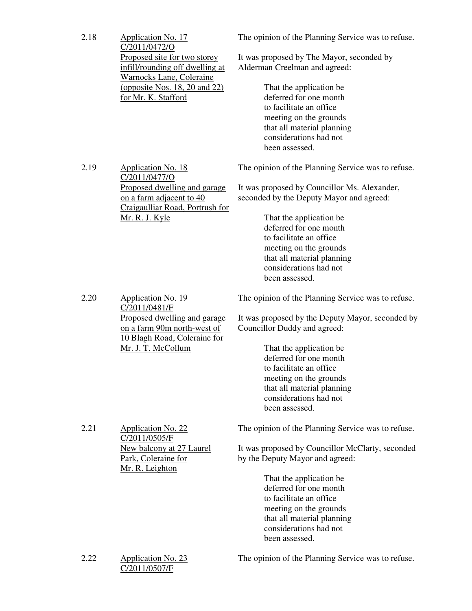| 2.18 | <b>Application No. 17</b><br>C/2011/0472/O<br>Proposed site for two storey<br>infill/rounding off dwelling at<br><b>Warnocks Lane, Coleraine</b><br>(opposite Nos. 18, 20 and 22)<br>for Mr. K. Stafford | The opinion of the Planning Service was to refuse.<br>It was proposed by The Mayor, seconded by<br>Alderman Creelman and agreed:<br>That the application be<br>deferred for one month<br>to facilitate an office<br>meeting on the grounds<br>that all material planning<br>considerations had not<br>been assessed.               |
|------|----------------------------------------------------------------------------------------------------------------------------------------------------------------------------------------------------------|------------------------------------------------------------------------------------------------------------------------------------------------------------------------------------------------------------------------------------------------------------------------------------------------------------------------------------|
| 2.19 | <b>Application No. 18</b><br>C/2011/0477/O<br>Proposed dwelling and garage<br>on a farm adjacent to 40<br>Craigaulliar Road, Portrush for<br><u>Mr. R. J. Kyle</u>                                       | The opinion of the Planning Service was to refuse.<br>It was proposed by Councillor Ms. Alexander,<br>seconded by the Deputy Mayor and agreed:<br>That the application be<br>deferred for one month<br>to facilitate an office<br>meeting on the grounds<br>that all material planning<br>considerations had not<br>been assessed. |
| 2.20 | Application No. 19<br>C/2011/0481/F<br>Proposed dwelling and garage<br>on a farm 90m north-west of<br>10 Blagh Road, Coleraine for<br>Mr. J. T. McCollum                                                 | The opinion of the Planning Service was to refuse.<br>It was proposed by the Deputy Mayor, seconded by<br>Councillor Duddy and agreed:<br>That the application be<br>deferred for one month<br>to facilitate an office<br>meeting on the grounds<br>that all material planning<br>considerations had not<br>been assessed.         |
| 2.21 | <b>Application No. 22</b><br>C/2011/0505/F<br>New balcony at 27 Laurel<br>Park, Coleraine for<br>Mr. R. Leighton                                                                                         | The opinion of the Planning Service was to refuse.<br>It was proposed by Councillor McClarty, seconded<br>by the Deputy Mayor and agreed:<br>That the application be<br>deferred for one month<br>to facilitate an office<br>meeting on the grounds<br>that all material planning<br>considerations had not<br>been assessed.      |
| 2.22 | <b>Application No. 23</b><br>C/2011/0507/F                                                                                                                                                               | The opinion of the Planning Service was to refuse.                                                                                                                                                                                                                                                                                 |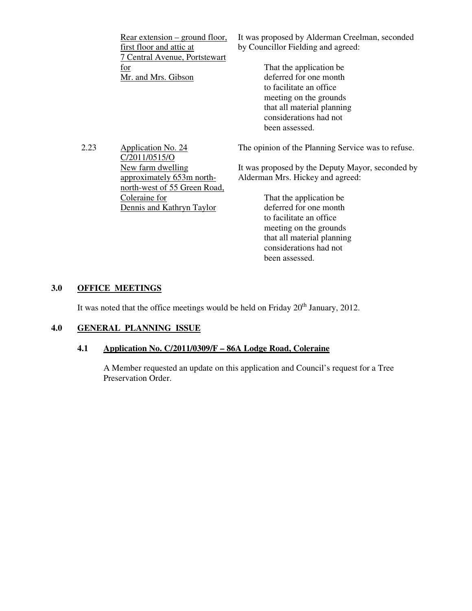| $Rear extension$ – ground floor,<br>first floor and attic at<br>7 Central Avenue, Portstewart | It was proposed by Alderman Creelman, seconded<br>by Councillor Fielding and agreed: |
|-----------------------------------------------------------------------------------------------|--------------------------------------------------------------------------------------|
| $\underline{for}$                                                                             | That the application be.                                                             |
| Mr. and Mrs. Gibson                                                                           | deferred for one month                                                               |
|                                                                                               | to facilitate an office                                                              |
|                                                                                               | meeting on the grounds                                                               |
|                                                                                               | that all material planning                                                           |
|                                                                                               | considerations had not                                                               |

been assessed.

2.23 Application No. 24 C/2011/0515/O New farm dwelling approximately 653m northnorth-west of 55 Green Road, Coleraine for Dennis and Kathryn Taylor

The opinion of the Planning Service was to refuse.

It was proposed by the Deputy Mayor, seconded by Alderman Mrs. Hickey and agreed:

> That the application be deferred for one month to facilitate an office meeting on the grounds that all material planning considerations had not been assessed.

# **3.0 OFFICE MEETINGS**

It was noted that the office meetings would be held on Friday  $20<sup>th</sup>$  January, 2012.

#### **4.0 GENERAL PLANNING ISSUE**

# **4.1 Application No. C/2011/0309/F – 86A Lodge Road, Coleraine**

A Member requested an update on this application and Council's request for a Tree Preservation Order.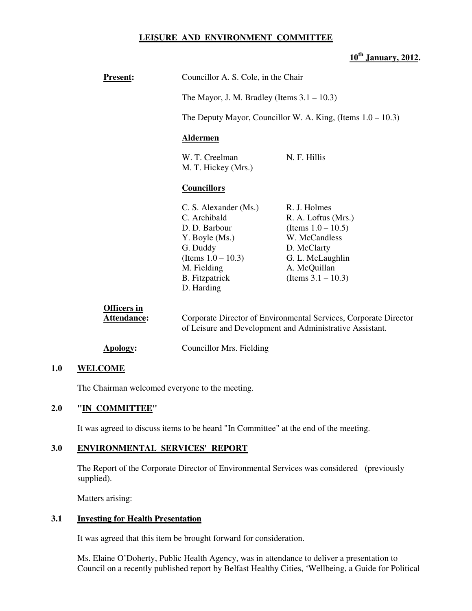#### **LEISURE AND ENVIRONMENT COMMITTEE**

# **10th January, 2012.**

| <b>Present:</b>                   | Councillor A. S. Cole, in the Chair                                                                                                                                 |                                                                                                                                                           |  |
|-----------------------------------|---------------------------------------------------------------------------------------------------------------------------------------------------------------------|-----------------------------------------------------------------------------------------------------------------------------------------------------------|--|
|                                   | The Mayor, J. M. Bradley (Items $3.1 - 10.3$ )                                                                                                                      |                                                                                                                                                           |  |
|                                   |                                                                                                                                                                     | The Deputy Mayor, Councillor W. A. King, (Items $1.0 - 10.3$ )                                                                                            |  |
|                                   | <b>Aldermen</b>                                                                                                                                                     |                                                                                                                                                           |  |
|                                   | W. T. Creelman<br>M. T. Hickey (Mrs.)                                                                                                                               | N. F. Hillis                                                                                                                                              |  |
|                                   | <b>Councillors</b>                                                                                                                                                  |                                                                                                                                                           |  |
|                                   | C. S. Alexander (Ms.)<br>C. Archibald<br>D. D. Barbour<br>Y. Boyle (Ms.)<br>G. Duddy<br>(Items $1.0 - 10.3$ )<br>M. Fielding<br><b>B.</b> Fitzpatrick<br>D. Harding | R. J. Holmes<br>R. A. Loftus (Mrs.)<br>(Items $1.0 - 10.5$ )<br>W. McCandless<br>D. McClarty<br>G. L. McLaughlin<br>A. McQuillan<br>(Items $3.1 - 10.3$ ) |  |
| <b>Officers in</b><br>Attendance: |                                                                                                                                                                     | Corporate Director of Environmental Services, Corporate Director<br>of Leisure and Development and Administrative Assistant.                              |  |
| Apology:                          | Councillor Mrs. Fielding                                                                                                                                            |                                                                                                                                                           |  |

#### **1.0 WELCOME**

The Chairman welcomed everyone to the meeting.

# **2.0 "IN COMMITTEE"**

It was agreed to discuss items to be heard "In Committee" at the end of the meeting.

### **3.0 ENVIRONMENTAL SERVICES' REPORT**

 The Report of the Corporate Director of Environmental Services was considered (previously supplied).

Matters arising:

# **3.1 Investing for Health Presentation**

It was agreed that this item be brought forward for consideration.

Ms. Elaine O'Doherty, Public Health Agency, was in attendance to deliver a presentation to Council on a recently published report by Belfast Healthy Cities, 'Wellbeing, a Guide for Political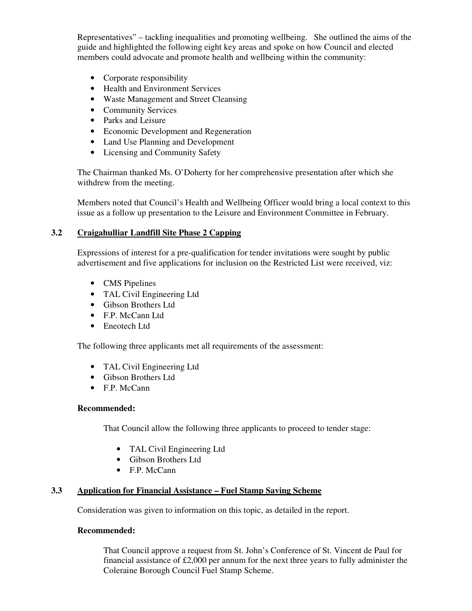Representatives" – tackling inequalities and promoting wellbeing. She outlined the aims of the guide and highlighted the following eight key areas and spoke on how Council and elected members could advocate and promote health and wellbeing within the community:

- Corporate responsibility
- Health and Environment Services
- Waste Management and Street Cleansing
- Community Services
- Parks and Leisure
- Economic Development and Regeneration
- Land Use Planning and Development
- Licensing and Community Safety

The Chairman thanked Ms. O'Doherty for her comprehensive presentation after which she withdrew from the meeting.

Members noted that Council's Health and Wellbeing Officer would bring a local context to this issue as a follow up presentation to the Leisure and Environment Committee in February.

# **3.2 Craigahulliar Landfill Site Phase 2 Capping**

Expressions of interest for a pre-qualification for tender invitations were sought by public advertisement and five applications for inclusion on the Restricted List were received, viz:

- CMS Pipelines
- TAL Civil Engineering Ltd
- Gibson Brothers Ltd
- F.P. McCann Ltd
- Eneotech Ltd

The following three applicants met all requirements of the assessment:

- TAL Civil Engineering Ltd
- Gibson Brothers Ltd
- F.P. McCann

#### **Recommended:**

That Council allow the following three applicants to proceed to tender stage:

- TAL Civil Engineering Ltd
- Gibson Brothers Ltd
- F.P. McCann

# **3.3 Application for Financial Assistance – Fuel Stamp Saving Scheme**

Consideration was given to information on this topic, as detailed in the report.

#### **Recommended:**

That Council approve a request from St. John's Conference of St. Vincent de Paul for financial assistance of £2,000 per annum for the next three years to fully administer the Coleraine Borough Council Fuel Stamp Scheme.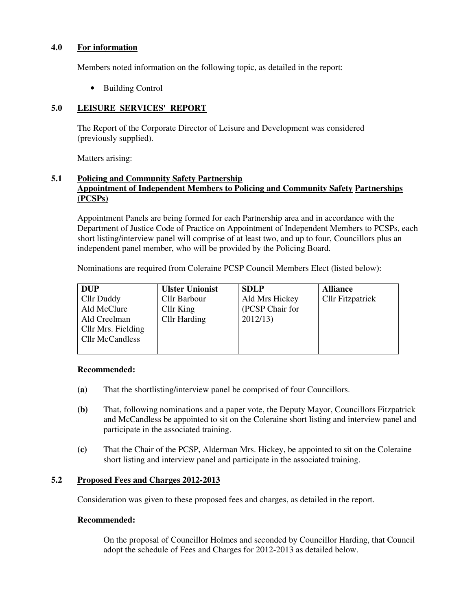### **4.0 For information**

Members noted information on the following topic, as detailed in the report:

• Building Control

# **5.0 LEISURE SERVICES' REPORT**

 The Report of the Corporate Director of Leisure and Development was considered (previously supplied).

Matters arising:

# **5.1 Policing and Community Safety Partnership Appointment of Independent Members to Policing and Community Safety Partnerships (PCSPs)**

Appointment Panels are being formed for each Partnership area and in accordance with the Department of Justice Code of Practice on Appointment of Independent Members to PCSPs, each short listing/interview panel will comprise of at least two, and up to four, Councillors plus an independent panel member, who will be provided by the Policing Board.

Nominations are required from Coleraine PCSP Council Members Elect (listed below):

| <b>DUP</b>             | <b>Ulster Unionist</b> | <b>SDLP</b>     | <b>Alliance</b>         |
|------------------------|------------------------|-----------------|-------------------------|
| Cllr Duddy             | Cllr Barbour           | Ald Mrs Hickey  | <b>Cllr Fitzpatrick</b> |
| Ald McClure            | Cllr King              | (PCSP Chair for |                         |
| Ald Creelman           | <b>Cllr</b> Harding    | 2012/13         |                         |
| Cllr Mrs. Fielding     |                        |                 |                         |
| <b>Cllr McCandless</b> |                        |                 |                         |
|                        |                        |                 |                         |

#### **Recommended:**

- **(a)** That the shortlisting/interview panel be comprised of four Councillors.
- **(b)** That, following nominations and a paper vote, the Deputy Mayor, Councillors Fitzpatrick and McCandless be appointed to sit on the Coleraine short listing and interview panel and participate in the associated training.
- **(c)** That the Chair of the PCSP, Alderman Mrs. Hickey, be appointed to sit on the Coleraine short listing and interview panel and participate in the associated training.

# **5.2 Proposed Fees and Charges 2012-2013**

Consideration was given to these proposed fees and charges, as detailed in the report.

# **Recommended:**

 On the proposal of Councillor Holmes and seconded by Councillor Harding, that Council adopt the schedule of Fees and Charges for 2012-2013 as detailed below.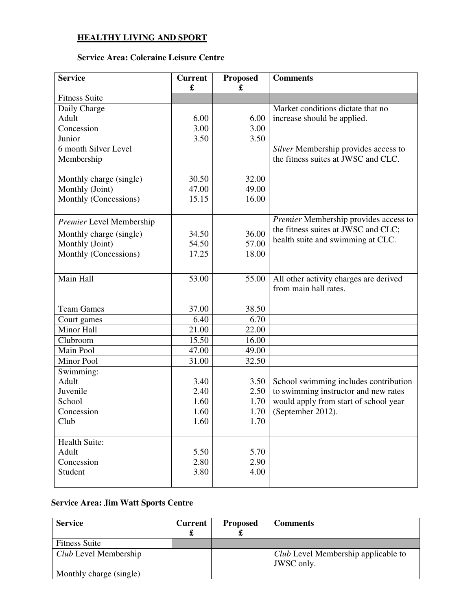# **HEALTHY LIVING AND SPORT**

# **Service Area: Coleraine Leisure Centre**

| <b>Service</b>           | <b>Current</b><br>£ | <b>Proposed</b><br>£ | <b>Comments</b>                        |
|--------------------------|---------------------|----------------------|----------------------------------------|
| <b>Fitness Suite</b>     |                     |                      |                                        |
| Daily Charge             |                     |                      | Market conditions dictate that no      |
| Adult                    | 6.00                | 6.00                 | increase should be applied.            |
| Concession               | 3.00                | 3.00                 |                                        |
| Junior                   | 3.50                | 3.50                 |                                        |
| 6 month Silver Level     |                     |                      | Silver Membership provides access to   |
| Membership               |                     |                      | the fitness suites at JWSC and CLC.    |
|                          |                     |                      |                                        |
| Monthly charge (single)  | 30.50               | 32.00                |                                        |
| Monthly (Joint)          | 47.00               | 49.00                |                                        |
| Monthly (Concessions)    | 15.15               | 16.00                |                                        |
|                          |                     |                      |                                        |
| Premier Level Membership |                     |                      | Premier Membership provides access to  |
| Monthly charge (single)  | 34.50               | 36.00                | the fitness suites at JWSC and CLC;    |
| Monthly (Joint)          | 54.50               | 57.00                | health suite and swimming at CLC.      |
| Monthly (Concessions)    | 17.25               | 18.00                |                                        |
|                          |                     |                      |                                        |
| Main Hall                | 53.00               | 55.00                | All other activity charges are derived |
|                          |                     |                      | from main hall rates.                  |
|                          |                     |                      |                                        |
| <b>Team Games</b>        | 37.00               | 38.50                |                                        |
| Court games              | 6.40                | 6.70                 |                                        |
| Minor Hall               | 21.00               | 22.00                |                                        |
| Clubroom                 | 15.50               | 16.00                |                                        |
| Main Pool                | 47.00               | 49.00                |                                        |
| Minor Pool               | 31.00               | 32.50                |                                        |
| Swimming:                |                     |                      |                                        |
| Adult                    | 3.40                | 3.50                 | School swimming includes contribution  |
| Juvenile                 | 2.40                | 2.50                 | to swimming instructor and new rates   |
| School                   | 1.60                | 1.70                 | would apply from start of school year  |
| Concession               | 1.60                | 1.70                 | (September 2012).                      |
| Club                     | 1.60                | 1.70                 |                                        |
|                          |                     |                      |                                        |
| Health Suite:            |                     |                      |                                        |
| Adult                    | 5.50                | 5.70                 |                                        |
| Concession               | 2.80                | 2.90                 |                                        |
| Student                  | 3.80                | 4.00                 |                                        |
|                          |                     |                      |                                        |

# **Service Area: Jim Watt Sports Centre**

| <b>Service</b>          | <b>Current</b> | <b>Proposed</b> | <b>Comments</b>                            |
|-------------------------|----------------|-----------------|--------------------------------------------|
|                         |                |                 |                                            |
| <b>Fitness Suite</b>    |                |                 |                                            |
| Club Level Membership   |                |                 | <i>Club</i> Level Membership applicable to |
| Monthly charge (single) |                |                 | JWSC only.                                 |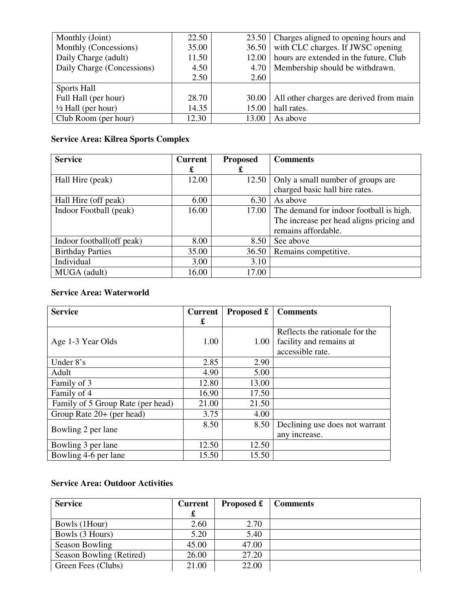| Monthly (Joint)               | 22.50 | 23.50 | Charges aligned to opening hours and    |
|-------------------------------|-------|-------|-----------------------------------------|
| Monthly (Concessions)         | 35.00 | 36.50 | with CLC charges. If JWSC opening       |
| Daily Charge (adult)          | 11.50 | 12.00 | hours are extended in the future, Club  |
| Daily Charge (Concessions)    | 4.50  | 4.70  | Membership should be withdrawn.         |
|                               | 2.50  | 2.60  |                                         |
| Sports Hall                   |       |       |                                         |
| Full Hall (per hour)          | 28.70 | 30.00 | All other charges are derived from main |
| $\frac{1}{2}$ Hall (per hour) | 14.35 | 15.00 | hall rates.                             |
| Club Room (per hour)          | 12.30 | 13.00 | As above                                |

# **Service Area: Kilrea Sports Complex**

| <b>Service</b>            | <b>Current</b> | <b>Proposed</b> | <b>Comments</b>                          |
|---------------------------|----------------|-----------------|------------------------------------------|
|                           | £              | £               |                                          |
| Hall Hire (peak)          | 12.00          | 12.50           | Only a small number of groups are        |
|                           |                |                 | charged basic hall hire rates.           |
| Hall Hire (off peak)      | 6.00           | 6.30            | As above                                 |
| Indoor Football (peak)    | 16.00          | 17.00           | The demand for indoor football is high.  |
|                           |                |                 | The increase per head aligns pricing and |
|                           |                |                 | remains affordable.                      |
| Indoor football(off peak) | 8.00           | 8.50            | See above                                |
| <b>Birthday Parties</b>   | 35.00          | 36.50           | Remains competitive.                     |
| Individual                | 3.00           | 3.10            |                                          |
| MUGA (adult)              | 16.00          | 17.00           |                                          |

# **Service Area: Waterworld**

| <b>Service</b>                    | <b>Current</b> | Proposed £ | <b>Comments</b>                |
|-----------------------------------|----------------|------------|--------------------------------|
|                                   | £              |            |                                |
|                                   |                |            | Reflects the rationale for the |
| Age 1-3 Year Olds                 | 1.00           | 1.00       | facility and remains at        |
|                                   |                |            | accessible rate.               |
| Under $8's$                       | 2.85           | 2.90       |                                |
| Adult                             | 4.90           | 5.00       |                                |
| Family of 3                       | 12.80          | 13.00      |                                |
| Family of 4                       | 16.90          | 17.50      |                                |
| Family of 5 Group Rate (per head) | 21.00          | 21.50      |                                |
| Group Rate 20+ (per head)         | 3.75           | 4.00       |                                |
| Bowling 2 per lane                | 8.50           | 8.50       | Declining use does not warrant |
|                                   |                |            | any increase.                  |
| Bowling 3 per lane                | 12.50          | 12.50      |                                |
| Bowling 4-6 per lane              | 15.50          | 15.50      |                                |

# **Service Area: Outdoor Activities**

| <b>Service</b>           | Current | Proposed £ | <b>Comments</b> |
|--------------------------|---------|------------|-----------------|
|                          | T       |            |                 |
| Bowls (1Hour)            | 2.60    | 2.70       |                 |
| Bowls (3 Hours)          | 5.20    | 5.40       |                 |
| <b>Season Bowling</b>    | 45.00   | 47.00      |                 |
| Season Bowling (Retired) | 26.00   | 27.20      |                 |
| Green Fees (Clubs)       | 21.00   | 22.00      |                 |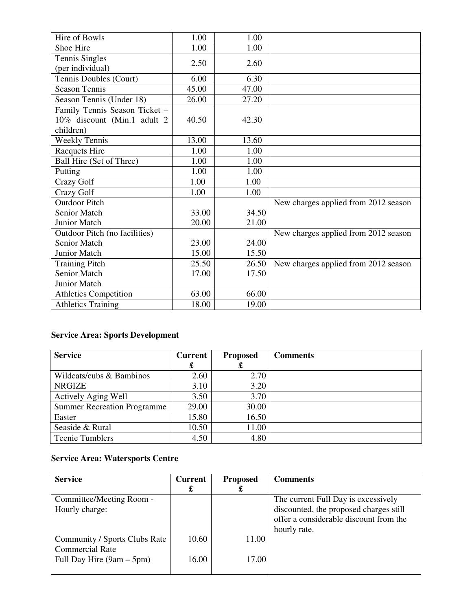| Hire of Bowls                             | 1.00  | 1.00  |                                      |
|-------------------------------------------|-------|-------|--------------------------------------|
| Shoe Hire                                 | 1.00  | 1.00  |                                      |
| <b>Tennis Singles</b><br>(per individual) | 2.50  | 2.60  |                                      |
| Tennis Doubles (Court)                    | 6.00  | 6.30  |                                      |
| <b>Season Tennis</b>                      | 45.00 | 47.00 |                                      |
| Season Tennis (Under 18)                  | 26.00 | 27.20 |                                      |
| Family Tennis Season Ticket -             |       |       |                                      |
| 10% discount (Min.1 adult 2               | 40.50 | 42.30 |                                      |
| children)                                 |       |       |                                      |
| <b>Weekly Tennis</b>                      | 13.00 | 13.60 |                                      |
| <b>Racquets Hire</b>                      | 1.00  | 1.00  |                                      |
| Ball Hire (Set of Three)                  | 1.00  | 1.00  |                                      |
| Putting                                   | 1.00  | 1.00  |                                      |
| Crazy Golf                                | 1.00  | 1.00  |                                      |
| Crazy Golf                                | 1.00  | 1.00  |                                      |
| <b>Outdoor Pitch</b>                      |       |       | New charges applied from 2012 season |
| <b>Senior Match</b>                       | 33.00 | 34.50 |                                      |
| <b>Junior Match</b>                       | 20.00 | 21.00 |                                      |
| Outdoor Pitch (no facilities)             |       |       | New charges applied from 2012 season |
| <b>Senior Match</b>                       | 23.00 | 24.00 |                                      |
| Junior Match                              | 15.00 | 15.50 |                                      |
| <b>Training Pitch</b>                     | 25.50 | 26.50 | New charges applied from 2012 season |
| Senior Match                              | 17.00 | 17.50 |                                      |
| Junior Match                              |       |       |                                      |
| <b>Athletics Competition</b>              | 63.00 | 66.00 |                                      |
| <b>Athletics Training</b>                 | 18.00 | 19.00 |                                      |

# **Service Area: Sports Development**

| <b>Service</b>                     | <b>Current</b> | <b>Proposed</b> | <b>Comments</b> |
|------------------------------------|----------------|-----------------|-----------------|
|                                    | £              | æ               |                 |
| Wildcats/cubs & Bambinos           | 2.60           | 2.70            |                 |
| <b>NRGIZE</b>                      | 3.10           | 3.20            |                 |
| <b>Actively Aging Well</b>         | 3.50           | 3.70            |                 |
| <b>Summer Recreation Programme</b> | 29.00          | 30.00           |                 |
| Easter                             | 15.80          | 16.50           |                 |
| Seaside & Rural                    | 10.50          | 11.00           |                 |
| <b>Teenie Tumblers</b>             | 4.50           | 4.80            |                 |

# **Service Area: Watersports Centre**

| <b>Service</b>                | <b>Current</b> | <b>Proposed</b> | <b>Comments</b>                        |
|-------------------------------|----------------|-----------------|----------------------------------------|
|                               | £              | £               |                                        |
| Committee/Meeting Room -      |                |                 | The current Full Day is excessively    |
| Hourly charge:                |                |                 | discounted, the proposed charges still |
|                               |                |                 | offer a considerable discount from the |
|                               |                |                 | hourly rate.                           |
| Community / Sports Clubs Rate | 10.60          | 11.00           |                                        |
| <b>Commercial Rate</b>        |                |                 |                                        |
| Full Day Hire $(9am - 5pm)$   | 16.00          | 17.00           |                                        |
|                               |                |                 |                                        |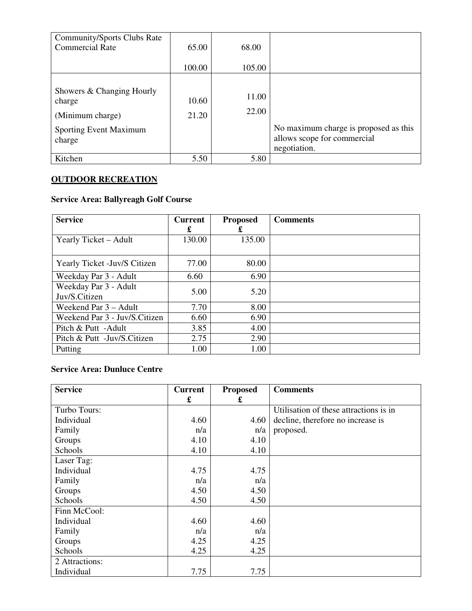| <b>Community/Sports Clubs Rate</b><br><b>Commercial Rate</b>                                | 65.00          | 68.00          |                                                                                      |
|---------------------------------------------------------------------------------------------|----------------|----------------|--------------------------------------------------------------------------------------|
|                                                                                             | 100.00         | 105.00         |                                                                                      |
| Showers & Changing Hourly<br>charge<br>(Minimum charge)<br>Sporting Event Maximum<br>charge | 10.60<br>21.20 | 11.00<br>22.00 | No maximum charge is proposed as this<br>allows scope for commercial<br>negotiation. |
| Kitchen                                                                                     | 5.50           | 5.80           |                                                                                      |

# **OUTDOOR RECREATION**

# **Service Area: Ballyreagh Golf Course**

| <b>Service</b>                | <b>Current</b> | <b>Proposed</b> | <b>Comments</b> |
|-------------------------------|----------------|-----------------|-----------------|
|                               | £              | £               |                 |
| Yearly Ticket – Adult         | 130.00         | 135.00          |                 |
|                               |                |                 |                 |
| Yearly Ticket - Juv/S Citizen | 77.00          | 80.00           |                 |
| Weekday Par 3 - Adult         | 6.60           | 6.90            |                 |
| Weekday Par 3 - Adult         | 5.00           | 5.20            |                 |
| Juv/S.Citizen                 |                |                 |                 |
| Weekend Par 3 – Adult         | 7.70           | 8.00            |                 |
| Weekend Par 3 - Juv/S.Citizen | 6.60           | 6.90            |                 |
| Pitch & Putt -Adult           | 3.85           | 4.00            |                 |
| Pitch & Putt -Juv/S.Citizen   | 2.75           | 2.90            |                 |
| Putting                       | 1.00           | 1.00            |                 |

# **Service Area: Dunluce Centre**

| <b>Service</b> | <b>Current</b> | <b>Proposed</b> | <b>Comments</b>                        |
|----------------|----------------|-----------------|----------------------------------------|
|                | £              | £               |                                        |
| Turbo Tours:   |                |                 | Utilisation of these attractions is in |
| Individual     | 4.60           | 4.60            | decline, therefore no increase is      |
| Family         | n/a            | n/a             | proposed.                              |
| Groups         | 4.10           | 4.10            |                                        |
| Schools        | 4.10           | 4.10            |                                        |
| Laser Tag:     |                |                 |                                        |
| Individual     | 4.75           | 4.75            |                                        |
| Family         | n/a            | n/a             |                                        |
| Groups         | 4.50           | 4.50            |                                        |
| Schools        | 4.50           | 4.50            |                                        |
| Finn McCool:   |                |                 |                                        |
| Individual     | 4.60           | 4.60            |                                        |
| Family         | n/a            | n/a             |                                        |
| Groups         | 4.25           | 4.25            |                                        |
| Schools        | 4.25           | 4.25            |                                        |
| 2 Attractions: |                |                 |                                        |
| Individual     | 7.75           | 7.75            |                                        |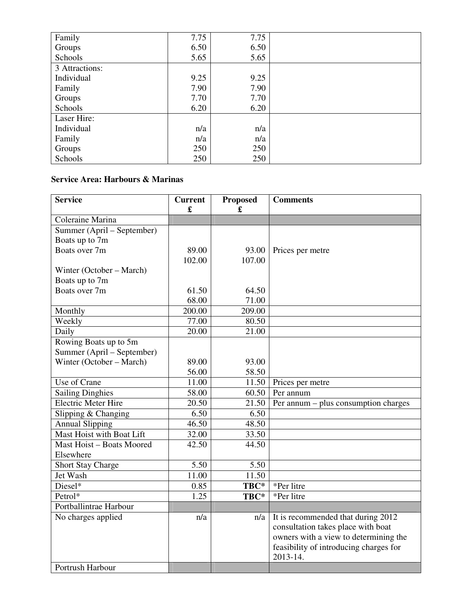| Family         | 7.75 | 7.75 |  |
|----------------|------|------|--|
| Groups         | 6.50 | 6.50 |  |
| Schools        | 5.65 | 5.65 |  |
| 3 Attractions: |      |      |  |
| Individual     | 9.25 | 9.25 |  |
| Family         | 7.90 | 7.90 |  |
| Groups         | 7.70 | 7.70 |  |
| Schools        | 6.20 | 6.20 |  |
| Laser Hire:    |      |      |  |
| Individual     | n/a  | n/a  |  |
| Family         | n/a  | n/a  |  |
| Groups         | 250  | 250  |  |
| Schools        | 250  | 250  |  |

# **Service Area: Harbours & Marinas**

| <b>Service</b>             | <b>Current</b><br>£ | <b>Proposed</b><br>£ | <b>Comments</b>                        |
|----------------------------|---------------------|----------------------|----------------------------------------|
| Coleraine Marina           |                     |                      |                                        |
| Summer (April – September) |                     |                      |                                        |
| Boats up to 7m             |                     |                      |                                        |
| Boats over 7m              | 89.00               | 93.00                | Prices per metre                       |
|                            | 102.00              | 107.00               |                                        |
| Winter (October – March)   |                     |                      |                                        |
| Boats up to 7m             |                     |                      |                                        |
| Boats over 7m              | 61.50               | 64.50                |                                        |
|                            | 68.00               | 71.00                |                                        |
| Monthly                    | 200.00              | 209.00               |                                        |
| Weekly                     | 77.00               | 80.50                |                                        |
| Daily                      | 20.00               | 21.00                |                                        |
| Rowing Boats up to 5m      |                     |                      |                                        |
| Summer (April – September) |                     |                      |                                        |
| Winter (October – March)   | 89.00               | 93.00                |                                        |
|                            | 56.00               | 58.50                |                                        |
| Use of Crane               | 11.00               | 11.50                | Prices per metre                       |
| <b>Sailing Dinghies</b>    | 58.00               | 60.50                | Per annum                              |
| <b>Electric Meter Hire</b> | 20.50               | 21.50                | Per annum – plus consumption charges   |
| Slipping & Changing        | 6.50                | 6.50                 |                                        |
| <b>Annual Slipping</b>     | 46.50               | 48.50                |                                        |
| Mast Hoist with Boat Lift  | 32.00               | 33.50                |                                        |
| Mast Hoist - Boats Moored  | 42.50               | 44.50                |                                        |
| Elsewhere                  |                     |                      |                                        |
| Short Stay Charge          | 5.50                | 5.50                 |                                        |
| Jet Wash                   | 11.00               | 11.50                |                                        |
| Diesel*                    | 0.85                | TBC*                 | *Per litre                             |
| Petrol*                    | 1.25                | TBC*                 | *Per litre                             |
| Portballintrae Harbour     |                     |                      |                                        |
| No charges applied         | n/a                 | n/a                  | It is recommended that during 2012     |
|                            |                     |                      | consultation takes place with boat     |
|                            |                     |                      | owners with a view to determining the  |
|                            |                     |                      | feasibility of introducing charges for |
|                            |                     |                      | 2013-14.                               |
| Portrush Harbour           |                     |                      |                                        |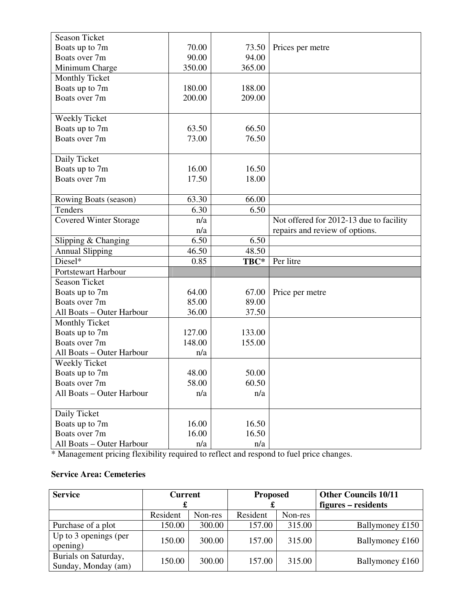| <b>Season Ticket</b>          |        |        |                                         |
|-------------------------------|--------|--------|-----------------------------------------|
| Boats up to 7m                | 70.00  | 73.50  | Prices per metre                        |
| Boats over 7m                 | 90.00  | 94.00  |                                         |
| Minimum Charge                | 350.00 | 365.00 |                                         |
| <b>Monthly Ticket</b>         |        |        |                                         |
| Boats up to 7m                | 180.00 | 188.00 |                                         |
| Boats over 7m                 | 200.00 | 209.00 |                                         |
|                               |        |        |                                         |
| Weekly Ticket                 |        |        |                                         |
| Boats up to 7m                | 63.50  | 66.50  |                                         |
| Boats over 7m                 | 73.00  | 76.50  |                                         |
|                               |        |        |                                         |
| Daily Ticket                  |        |        |                                         |
| Boats up to 7m                | 16.00  | 16.50  |                                         |
| Boats over 7m                 | 17.50  | 18.00  |                                         |
|                               |        |        |                                         |
| Rowing Boats (season)         | 63.30  | 66.00  |                                         |
| Tenders                       | 6.30   | 6.50   |                                         |
| <b>Covered Winter Storage</b> | n/a    |        | Not offered for 2012-13 due to facility |
|                               | n/a    |        | repairs and review of options.          |
| Slipping & Changing           | 6.50   | 6.50   |                                         |
| <b>Annual Slipping</b>        | 46.50  | 48.50  |                                         |
| Diesel*                       | 0.85   | TBC*   | Per litre                               |
| Portstewart Harbour           |        |        |                                         |
| <b>Season Ticket</b>          |        |        |                                         |
| Boats up to 7m                | 64.00  | 67.00  | Price per metre                         |
| Boats over 7m                 | 85.00  | 89.00  |                                         |
| All Boats - Outer Harbour     | 36.00  | 37.50  |                                         |
| Monthly Ticket                |        |        |                                         |
| Boats up to 7m                | 127.00 | 133.00 |                                         |
| Boats over 7m                 | 148.00 | 155.00 |                                         |
| All Boats - Outer Harbour     | n/a    |        |                                         |
| <b>Weekly Ticket</b>          |        |        |                                         |
| Boats up to 7m                | 48.00  | 50.00  |                                         |
| Boats over 7m                 | 58.00  | 60.50  |                                         |
| All Boats - Outer Harbour     | n/a    | n/a    |                                         |
|                               |        |        |                                         |
| Daily Ticket                  |        |        |                                         |
| Boats up to 7m                | 16.00  | 16.50  |                                         |
| Boats over 7m                 | 16.00  | 16.50  |                                         |
| All Boats - Outer Harbour     | n/a    | n/a    |                                         |

\* Management pricing flexibility required to reflect and respond to fuel price changes.

# **Service Area: Cemeteries**

| <b>Service</b>                              | <b>Current</b> |         | <b>Proposed</b> |         | <b>Other Councils 10/11</b> |
|---------------------------------------------|----------------|---------|-----------------|---------|-----------------------------|
|                                             |                |         | æ               |         | figures – residents         |
|                                             | Resident       | Non-res | Resident        | Non-res |                             |
| Purchase of a plot                          | 150.00         | 300.00  | 157.00          | 315.00  | Ballymoney £150             |
| Up to 3 openings (per<br>opening)           | 150.00         | 300.00  | 157.00          | 315.00  | Ballymoney £160             |
| Burials on Saturday,<br>Sunday, Monday (am) | 150.00         | 300.00  | 157.00          | 315.00  | Ballymoney £160             |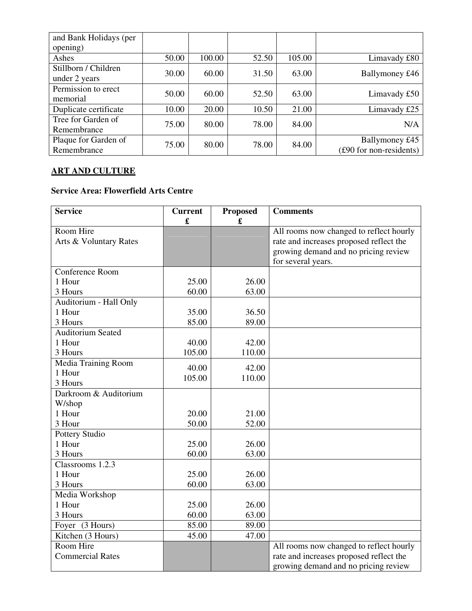| and Bank Holidays (per |       |        |       |        |                         |
|------------------------|-------|--------|-------|--------|-------------------------|
| opening)               |       |        |       |        |                         |
| Ashes                  | 50.00 | 100.00 | 52.50 | 105.00 | Limavady £80            |
| Stillborn / Children   | 30.00 | 60.00  | 31.50 | 63.00  | Ballymoney £46          |
| under 2 years          |       |        |       |        |                         |
| Permission to erect    | 50.00 | 60.00  | 52.50 | 63.00  |                         |
| memorial               |       |        |       |        | Limavady £50            |
| Duplicate certificate  | 10.00 | 20.00  | 10.50 | 21.00  | Limavady £25            |
| Tree for Garden of     | 75.00 | 80.00  | 78.00 | 84.00  | N/A                     |
| Remembrance            |       |        |       |        |                         |
| Plaque for Garden of   | 75.00 | 80.00  | 78.00 | 84.00  | Ballymoney £45          |
| Remembrance            |       |        |       |        | (£90 for non-residents) |

# **ART AND CULTURE**

# **Service Area: Flowerfield Arts Centre**

| <b>Service</b>           | <b>Current</b><br>£ | <b>Proposed</b><br>£ | <b>Comments</b>                         |
|--------------------------|---------------------|----------------------|-----------------------------------------|
| Room Hire                |                     |                      | All rooms now changed to reflect hourly |
| Arts & Voluntary Rates   |                     |                      | rate and increases proposed reflect the |
|                          |                     |                      | growing demand and no pricing review    |
|                          |                     |                      | for several years.                      |
| Conference Room          |                     |                      |                                         |
| 1 Hour                   | 25.00               | 26.00                |                                         |
| 3 Hours                  | 60.00               | 63.00                |                                         |
| Auditorium - Hall Only   |                     |                      |                                         |
| 1 Hour                   | 35.00               | 36.50                |                                         |
| 3 Hours                  | 85.00               | 89.00                |                                         |
| <b>Auditorium Seated</b> |                     |                      |                                         |
| 1 Hour                   | 40.00               | 42.00                |                                         |
| 3 Hours                  | 105.00              | 110.00               |                                         |
| Media Training Room      |                     |                      |                                         |
| 1 Hour                   | 40.00               | 42.00                |                                         |
| 3 Hours                  | 105.00              | 110.00               |                                         |
| Darkroom & Auditorium    |                     |                      |                                         |
| W/shop                   |                     |                      |                                         |
| 1 Hour                   | 20.00               | 21.00                |                                         |
| 3 Hour                   | 50.00               | 52.00                |                                         |
| <b>Pottery Studio</b>    |                     |                      |                                         |
| 1 Hour                   | 25.00               | 26.00                |                                         |
| 3 Hours                  | 60.00               | 63.00                |                                         |
| Classrooms 1.2.3         |                     |                      |                                         |
| 1 Hour                   | 25.00               | 26.00                |                                         |
| 3 Hours                  | 60.00               | 63.00                |                                         |
| Media Workshop           |                     |                      |                                         |
| 1 Hour                   | 25.00               | 26.00                |                                         |
| 3 Hours                  | 60.00               | 63.00                |                                         |
| Foyer (3 Hours)          | 85.00               | 89.00                |                                         |
| Kitchen (3 Hours)        | 45.00               | 47.00                |                                         |
| Room Hire                |                     |                      | All rooms now changed to reflect hourly |
| <b>Commercial Rates</b>  |                     |                      | rate and increases proposed reflect the |
|                          |                     |                      | growing demand and no pricing review    |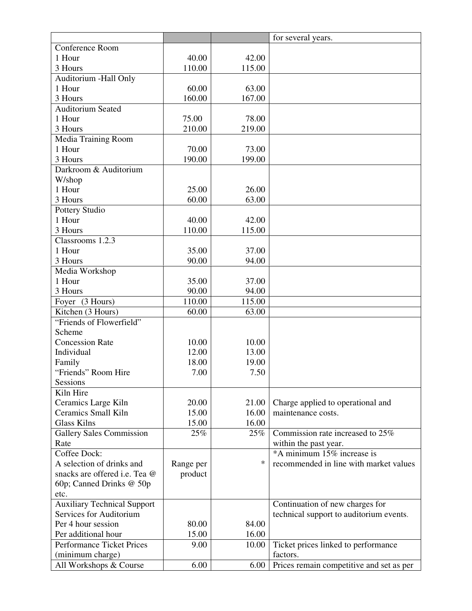|                                    |           |        | for several years.                       |
|------------------------------------|-----------|--------|------------------------------------------|
| Conference Room                    |           |        |                                          |
| 1 Hour                             | 40.00     | 42.00  |                                          |
| 3 Hours                            | 110.00    | 115.00 |                                          |
| Auditorium - Hall Only             |           |        |                                          |
| 1 Hour                             | 60.00     | 63.00  |                                          |
| 3 Hours                            | 160.00    | 167.00 |                                          |
| <b>Auditorium Seated</b>           |           |        |                                          |
| 1 Hour                             | 75.00     | 78.00  |                                          |
| 3 Hours                            | 210.00    | 219.00 |                                          |
| Media Training Room                |           |        |                                          |
| 1 Hour                             | 70.00     | 73.00  |                                          |
| 3 Hours                            | 190.00    | 199.00 |                                          |
| Darkroom & Auditorium              |           |        |                                          |
| W/shop                             |           |        |                                          |
| 1 Hour                             | 25.00     | 26.00  |                                          |
| 3 Hours                            | 60.00     | 63.00  |                                          |
| Pottery Studio                     |           |        |                                          |
| 1 Hour                             | 40.00     | 42.00  |                                          |
| 3 Hours                            | 110.00    | 115.00 |                                          |
|                                    |           |        |                                          |
| Classrooms 1.2.3                   |           |        |                                          |
| 1 Hour                             | 35.00     | 37.00  |                                          |
| 3 Hours                            | 90.00     | 94.00  |                                          |
| Media Workshop                     |           |        |                                          |
| 1 Hour                             | 35.00     | 37.00  |                                          |
| 3 Hours                            | 90.00     | 94.00  |                                          |
| Foyer (3 Hours)                    | 110.00    | 115.00 |                                          |
| Kitchen (3 Hours)                  | 60.00     | 63.00  |                                          |
| "Friends of Flowerfield"           |           |        |                                          |
| Scheme                             |           |        |                                          |
| <b>Concession Rate</b>             | 10.00     | 10.00  |                                          |
| Individual                         | 12.00     | 13.00  |                                          |
| Family                             | 18.00     | 19.00  |                                          |
| "Friends" Room Hire                | 7.00      | 7.50   |                                          |
| Sessions                           |           |        |                                          |
| Kiln Hire                          |           |        |                                          |
| Ceramics Large Kiln                | 20.00     | 21.00  | Charge applied to operational and        |
| Ceramics Small Kiln                | 15.00     | 16.00  | maintenance costs.                       |
| <b>Glass Kilns</b>                 | 15.00     | 16.00  |                                          |
| <b>Gallery Sales Commission</b>    | 25%       | 25%    | Commission rate increased to 25%         |
| Rate                               |           |        | within the past year.                    |
| Coffee Dock:                       |           |        | *A minimum 15% increase is               |
| A selection of drinks and          | Range per | $\ast$ | recommended in line with market values   |
| snacks are offered i.e. Tea @      | product   |        |                                          |
| 60p; Canned Drinks @ 50p           |           |        |                                          |
| etc.                               |           |        |                                          |
| <b>Auxiliary Technical Support</b> |           |        | Continuation of new charges for          |
| Services for Auditorium            |           |        | technical support to auditorium events.  |
| Per 4 hour session                 | 80.00     | 84.00  |                                          |
| Per additional hour                | 15.00     | 16.00  |                                          |
| <b>Performance Ticket Prices</b>   | 9.00      | 10.00  | Ticket prices linked to performance      |
| (minimum charge)                   |           |        | factors.                                 |
| All Workshops & Course             | 6.00      | 6.00   | Prices remain competitive and set as per |
|                                    |           |        |                                          |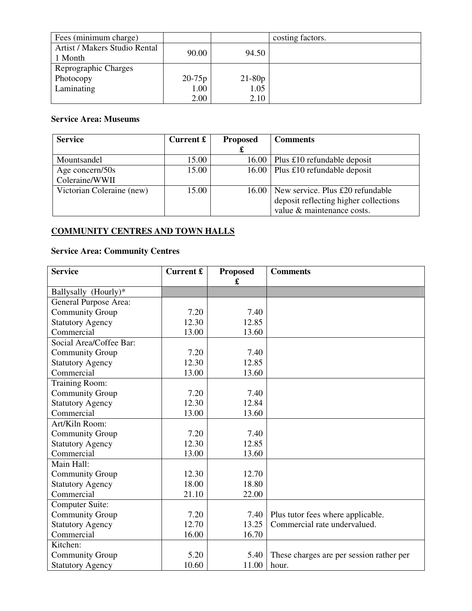| Fees (minimum charge)                    |            |          | costing factors. |
|------------------------------------------|------------|----------|------------------|
| Artist / Makers Studio Rental<br>1 Month | 90.00      | 94.50    |                  |
| Reprographic Charges                     |            |          |                  |
| Photocopy                                | $20 - 75p$ | $21-80p$ |                  |
| Laminating                               | 1.00       | 1.05     |                  |
|                                          | 2.00       | 2.10     |                  |

# **Service Area: Museums**

| <b>Service</b>            | Current $\mathbf{\pounds}$ | <b>Proposed</b> | <b>Comments</b>                          |
|---------------------------|----------------------------|-----------------|------------------------------------------|
|                           |                            | £               |                                          |
| Mountsandel               | 15.00                      | 16.00           | Plus £10 refundable deposit              |
| Age concern/50s           | 15.00                      |                 | 16.00   Plus £10 refundable deposit      |
| Coleraine/WWII            |                            |                 |                                          |
| Victorian Coleraine (new) | 15.00                      |                 | $16.00$ New service. Plus £20 refundable |
|                           |                            |                 | deposit reflecting higher collections    |
|                           |                            |                 | value & maintenance costs.               |

# **COMMUNITY CENTRES AND TOWN HALLS**

# **Service Area: Community Centres**

| <b>Service</b>          | Current £ | <b>Proposed</b><br>£ | <b>Comments</b>                          |
|-------------------------|-----------|----------------------|------------------------------------------|
| Ballysally (Hourly)*    |           |                      |                                          |
| General Purpose Area:   |           |                      |                                          |
| <b>Community Group</b>  | 7.20      | 7.40                 |                                          |
| <b>Statutory Agency</b> | 12.30     | 12.85                |                                          |
| Commercial              | 13.00     | 13.60                |                                          |
| Social Area/Coffee Bar: |           |                      |                                          |
| <b>Community Group</b>  | 7.20      | 7.40                 |                                          |
| <b>Statutory Agency</b> | 12.30     | 12.85                |                                          |
| Commercial              | 13.00     | 13.60                |                                          |
| <b>Training Room:</b>   |           |                      |                                          |
| Community Group         | 7.20      | 7.40                 |                                          |
| <b>Statutory Agency</b> | 12.30     | 12.84                |                                          |
| Commercial              | 13.00     | 13.60                |                                          |
| Art/Kiln Room:          |           |                      |                                          |
| <b>Community Group</b>  | 7.20      | 7.40                 |                                          |
| <b>Statutory Agency</b> | 12.30     | 12.85                |                                          |
| Commercial              | 13.00     | 13.60                |                                          |
| Main Hall:              |           |                      |                                          |
| <b>Community Group</b>  | 12.30     | 12.70                |                                          |
| <b>Statutory Agency</b> | 18.00     | 18.80                |                                          |
| Commercial              | 21.10     | 22.00                |                                          |
| <b>Computer Suite:</b>  |           |                      |                                          |
| <b>Community Group</b>  | 7.20      | 7.40                 | Plus tutor fees where applicable.        |
| <b>Statutory Agency</b> | 12.70     | 13.25                | Commercial rate undervalued.             |
| Commercial              | 16.00     | 16.70                |                                          |
| Kitchen:                |           |                      |                                          |
| <b>Community Group</b>  | 5.20      | 5.40                 | These charges are per session rather per |
| <b>Statutory Agency</b> | 10.60     | 11.00                | hour.                                    |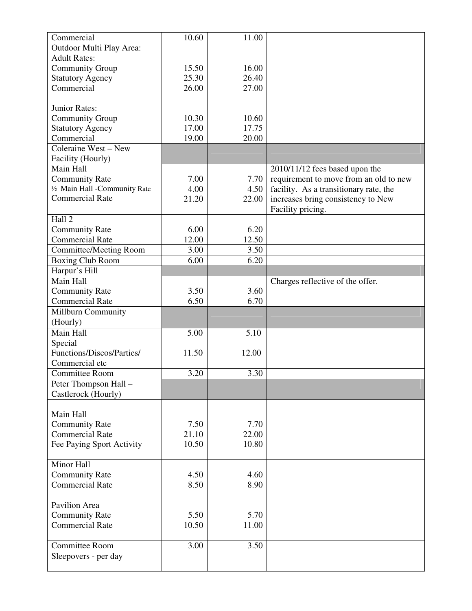| Commercial                    | 10.60 | 11.00 |                                        |
|-------------------------------|-------|-------|----------------------------------------|
| Outdoor Multi Play Area:      |       |       |                                        |
| <b>Adult Rates:</b>           |       |       |                                        |
| <b>Community Group</b>        | 15.50 | 16.00 |                                        |
| <b>Statutory Agency</b>       | 25.30 | 26.40 |                                        |
| Commercial                    | 26.00 | 27.00 |                                        |
|                               |       |       |                                        |
| Junior Rates:                 |       |       |                                        |
| <b>Community Group</b>        | 10.30 | 10.60 |                                        |
| <b>Statutory Agency</b>       | 17.00 | 17.75 |                                        |
| Commercial                    | 19.00 | 20.00 |                                        |
| Coleraine West - New          |       |       |                                        |
| Facility (Hourly)             |       |       |                                        |
| Main Hall                     |       |       | 2010/11/12 fees based upon the         |
| <b>Community Rate</b>         | 7.00  | 7.70  | requirement to move from an old to new |
| 1/2 Main Hall -Community Rate | 4.00  | 4.50  | facility. As a transitionary rate, the |
| <b>Commercial Rate</b>        | 21.20 | 22.00 | increases bring consistency to New     |
|                               |       |       | Facility pricing.                      |
| Hall 2                        |       |       |                                        |
| <b>Community Rate</b>         | 6.00  | 6.20  |                                        |
| <b>Commercial Rate</b>        | 12.00 | 12.50 |                                        |
| <b>Committee/Meeting Room</b> | 3.00  | 3.50  |                                        |
| <b>Boxing Club Room</b>       | 6.00  | 6.20  |                                        |
| Harpur's Hill                 |       |       |                                        |
| Main Hall                     |       |       | Charges reflective of the offer.       |
| <b>Community Rate</b>         | 3.50  | 3.60  |                                        |
| <b>Commercial Rate</b>        | 6.50  | 6.70  |                                        |
| <b>Millburn Community</b>     |       |       |                                        |
| (Hourly)                      |       |       |                                        |
| Main Hall                     | 5.00  | 5.10  |                                        |
| Special                       |       |       |                                        |
| Functions/Discos/Parties/     | 11.50 | 12.00 |                                        |
| Commercial etc                |       |       |                                        |
| <b>Committee Room</b>         | 3.20  | 3.30  |                                        |
| Peter Thompson Hall -         |       |       |                                        |
| Castlerock (Hourly)           |       |       |                                        |
|                               |       |       |                                        |
| Main Hall                     |       |       |                                        |
| <b>Community Rate</b>         | 7.50  | 7.70  |                                        |
| <b>Commercial Rate</b>        | 21.10 | 22.00 |                                        |
| Fee Paying Sport Activity     | 10.50 | 10.80 |                                        |
|                               |       |       |                                        |
| Minor Hall                    |       |       |                                        |
| <b>Community Rate</b>         | 4.50  | 4.60  |                                        |
| <b>Commercial Rate</b>        | 8.50  | 8.90  |                                        |
|                               |       |       |                                        |
| Pavilion Area                 |       |       |                                        |
| <b>Community Rate</b>         | 5.50  | 5.70  |                                        |
| <b>Commercial Rate</b>        | 10.50 | 11.00 |                                        |
|                               |       |       |                                        |
| <b>Committee Room</b>         | 3.00  | 3.50  |                                        |
| Sleepovers - per day          |       |       |                                        |
|                               |       |       |                                        |
|                               |       |       |                                        |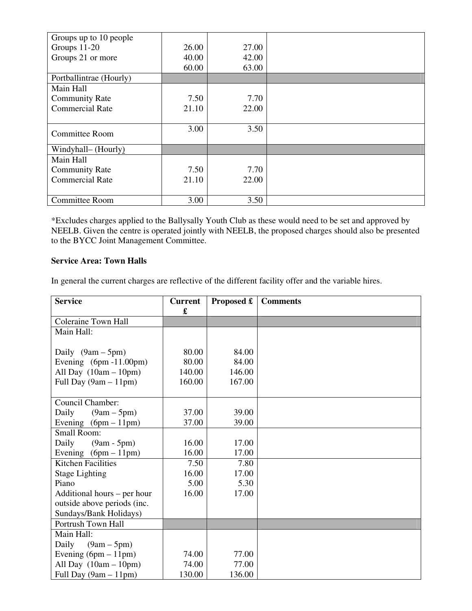| Groups up to 10 people  |       |       |  |
|-------------------------|-------|-------|--|
| Groups 11-20            | 26.00 | 27.00 |  |
| Groups 21 or more       | 40.00 | 42.00 |  |
|                         | 60.00 | 63.00 |  |
| Portballintrae (Hourly) |       |       |  |
| Main Hall               |       |       |  |
| <b>Community Rate</b>   | 7.50  | 7.70  |  |
| <b>Commercial Rate</b>  | 21.10 | 22.00 |  |
|                         |       |       |  |
| <b>Committee Room</b>   | 3.00  | 3.50  |  |
| Windyhall– (Hourly)     |       |       |  |
| Main Hall               |       |       |  |
| <b>Community Rate</b>   | 7.50  | 7.70  |  |
| <b>Commercial Rate</b>  | 21.10 | 22.00 |  |
|                         |       |       |  |
| <b>Committee Room</b>   | 3.00  | 3.50  |  |

\*Excludes charges applied to the Ballysally Youth Club as these would need to be set and approved by NEELB. Given the centre is operated jointly with NEELB, the proposed charges should also be presented to the BYCC Joint Management Committee.

# **Service Area: Town Halls**

In general the current charges are reflective of the different facility offer and the variable hires.

| <b>Service</b>              | <b>Current</b><br>£ | Proposed £ | <b>Comments</b> |
|-----------------------------|---------------------|------------|-----------------|
| <b>Coleraine Town Hall</b>  |                     |            |                 |
| Main Hall:                  |                     |            |                 |
|                             |                     |            |                 |
| Daily $(9am - 5pm)$         | 80.00               | 84.00      |                 |
| Evening $(6pm -11.00pm)$    | 80.00               | 84.00      |                 |
| All Day $(10am - 10pm)$     | 140.00              | 146.00     |                 |
| Full Day $(9am - 11pm)$     | 160.00              | 167.00     |                 |
|                             |                     |            |                 |
| Council Chamber:            |                     |            |                 |
| Daily<br>$(9am - 5pm)$      | 37.00               | 39.00      |                 |
| Evening $(6pm - 11pm)$      | 37.00               | 39.00      |                 |
| <b>Small Room:</b>          |                     |            |                 |
| Daily<br>$(9am - 5pm)$      | 16.00               | 17.00      |                 |
| Evening $(6pm - 11pm)$      | 16.00               | 17.00      |                 |
| <b>Kitchen Facilities</b>   | 7.50                | 7.80       |                 |
| <b>Stage Lighting</b>       | 16.00               | 17.00      |                 |
| Piano                       | 5.00                | 5.30       |                 |
| Additional hours – per hour | 16.00               | 17.00      |                 |
| outside above periods (inc. |                     |            |                 |
| Sundays/Bank Holidays)      |                     |            |                 |
| Portrush Town Hall          |                     |            |                 |
| Main Hall:                  |                     |            |                 |
| $(9am - 5pm)$<br>Daily      |                     |            |                 |
| Evening $(6pm - 11pm)$      | 74.00               | 77.00      |                 |
| All Day $(10am - 10pm)$     | 74.00               | 77.00      |                 |
| Full Day (9am - 11pm)       | 130.00              | 136.00     |                 |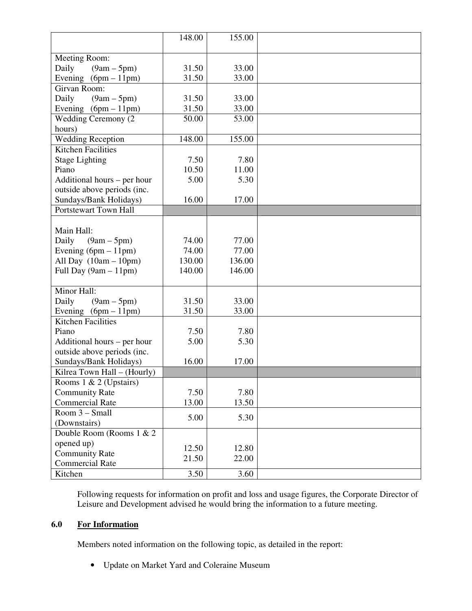|                             | 148.00 | 155.00 |  |
|-----------------------------|--------|--------|--|
|                             |        |        |  |
| Meeting Room:               |        |        |  |
| Daily<br>$(9am - 5pm)$      | 31.50  | 33.00  |  |
| Evening $(6pm - 11pm)$      | 31.50  | 33.00  |  |
| Girvan Room:                |        |        |  |
| Daily<br>$(9am - 5pm)$      | 31.50  | 33.00  |  |
| Evening $(6pm - 11pm)$      | 31.50  | 33.00  |  |
| <b>Wedding Ceremony (2)</b> | 50.00  | 53.00  |  |
| hours)                      |        |        |  |
| <b>Wedding Reception</b>    | 148.00 | 155.00 |  |
| <b>Kitchen Facilities</b>   |        |        |  |
| <b>Stage Lighting</b>       | 7.50   | 7.80   |  |
| Piano                       | 10.50  | 11.00  |  |
| Additional hours – per hour | 5.00   | 5.30   |  |
| outside above periods (inc. |        |        |  |
| Sundays/Bank Holidays)      | 16.00  | 17.00  |  |
| Portstewart Town Hall       |        |        |  |
|                             |        |        |  |
| Main Hall:                  |        |        |  |
| Daily<br>$(9am - 5pm)$      | 74.00  | 77.00  |  |
| Evening $(6pm - 11pm)$      | 74.00  | 77.00  |  |
| All Day $(10am - 10pm)$     | 130.00 | 136.00 |  |
| Full Day $(9am - 11pm)$     | 140.00 | 146.00 |  |
|                             |        |        |  |
| Minor Hall:                 |        |        |  |
| Daily<br>$(9am - 5pm)$      | 31.50  | 33.00  |  |
| Evening $(6pm - 11pm)$      | 31.50  | 33.00  |  |
| <b>Kitchen Facilities</b>   |        |        |  |
| Piano                       | 7.50   | 7.80   |  |
| Additional hours – per hour | 5.00   | 5.30   |  |
| outside above periods (inc. |        |        |  |
| Sundays/Bank Holidays)      | 16.00  | 17.00  |  |
| Kilrea Town Hall - (Hourly) |        |        |  |
| Rooms $1 \& 2$ (Upstairs)   |        |        |  |
| <b>Community Rate</b>       | 7.50   | 7.80   |  |
| <b>Commercial Rate</b>      | 13.00  | 13.50  |  |
| Room 3 - Small              | 5.00   | 5.30   |  |
| (Downstairs)                |        |        |  |
| Double Room (Rooms 1 & 2    |        |        |  |
| opened up)                  |        |        |  |
| <b>Community Rate</b>       | 12.50  | 12.80  |  |
| <b>Commercial Rate</b>      | 21.50  | 22.00  |  |
| Kitchen                     | 3.50   | 3.60   |  |

Following requests for information on profit and loss and usage figures, the Corporate Director of Leisure and Development advised he would bring the information to a future meeting.

# **6.0 For Information**

Members noted information on the following topic, as detailed in the report:

• Update on Market Yard and Coleraine Museum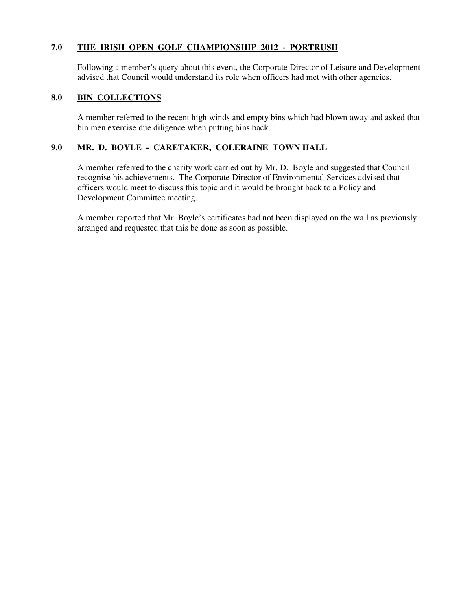# **7.0 THE IRISH OPEN GOLF CHAMPIONSHIP 2012 - PORTRUSH**

Following a member's query about this event, the Corporate Director of Leisure and Development advised that Council would understand its role when officers had met with other agencies.

#### **8.0 BIN COLLECTIONS**

A member referred to the recent high winds and empty bins which had blown away and asked that bin men exercise due diligence when putting bins back.

# **9.0 MR. D. BOYLE - CARETAKER, COLERAINE TOWN HALL**

A member referred to the charity work carried out by Mr. D. Boyle and suggested that Council recognise his achievements. The Corporate Director of Environmental Services advised that officers would meet to discuss this topic and it would be brought back to a Policy and Development Committee meeting.

A member reported that Mr. Boyle's certificates had not been displayed on the wall as previously arranged and requested that this be done as soon as possible.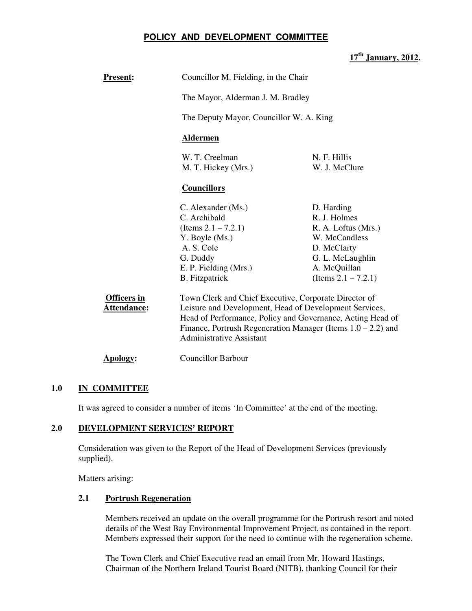# **POLICY AND DEVELOPMENT COMMITTEE**

# **17th January, 2012.**

| <b>Present:</b>                          |                                                                                                                                                                               | Councillor M. Fielding, in the Chair                            |  |  |  |  |
|------------------------------------------|-------------------------------------------------------------------------------------------------------------------------------------------------------------------------------|-----------------------------------------------------------------|--|--|--|--|
|                                          | The Mayor, Alderman J. M. Bradley                                                                                                                                             |                                                                 |  |  |  |  |
|                                          | The Deputy Mayor, Councillor W. A. King                                                                                                                                       |                                                                 |  |  |  |  |
|                                          | <b>Aldermen</b>                                                                                                                                                               |                                                                 |  |  |  |  |
|                                          | W. T. Creelman<br>M. T. Hickey (Mrs.)                                                                                                                                         | N. F. Hillis<br>W. J. McClure                                   |  |  |  |  |
|                                          | <b>Councillors</b>                                                                                                                                                            |                                                                 |  |  |  |  |
|                                          | C. Alexander (Ms.)                                                                                                                                                            | D. Harding                                                      |  |  |  |  |
|                                          | C. Archibald                                                                                                                                                                  | R. J. Holmes                                                    |  |  |  |  |
|                                          | (Items $2.1 - 7.2.1$ )                                                                                                                                                        | R. A. Loftus (Mrs.)                                             |  |  |  |  |
|                                          | Y. Boyle (Ms.)                                                                                                                                                                | W. McCandless                                                   |  |  |  |  |
|                                          | A. S. Cole                                                                                                                                                                    | D. McClarty                                                     |  |  |  |  |
|                                          | G. Duddy                                                                                                                                                                      | G. L. McLaughlin                                                |  |  |  |  |
|                                          | E. P. Fielding (Mrs.)                                                                                                                                                         | A. McQuillan                                                    |  |  |  |  |
|                                          | <b>B.</b> Fitzpatrick<br>(Items $2.1 - 7.2.1$ )                                                                                                                               |                                                                 |  |  |  |  |
| <b>Officers in</b><br><b>Attendance:</b> | Town Clerk and Chief Executive, Corporate Director of<br>Leisure and Development, Head of Development Services,<br>Head of Performance, Policy and Governance, Acting Head of |                                                                 |  |  |  |  |
|                                          |                                                                                                                                                                               |                                                                 |  |  |  |  |
|                                          | <b>Administrative Assistant</b>                                                                                                                                               | Finance, Portrush Regeneration Manager (Items $1.0 - 2.2$ ) and |  |  |  |  |
| Apology:                                 | <b>Councillor Barbour</b>                                                                                                                                                     |                                                                 |  |  |  |  |

# **1.0 IN COMMITTEE**

It was agreed to consider a number of items 'In Committee' at the end of the meeting.

#### **2.0 DEVELOPMENT SERVICES' REPORT**

 Consideration was given to the Report of the Head of Development Services (previously supplied).

Matters arising:

## **2.1 Portrush Regeneration**

Members received an update on the overall programme for the Portrush resort and noted details of the West Bay Environmental Improvement Project, as contained in the report. Members expressed their support for the need to continue with the regeneration scheme.

The Town Clerk and Chief Executive read an email from Mr. Howard Hastings, Chairman of the Northern Ireland Tourist Board (NITB), thanking Council for their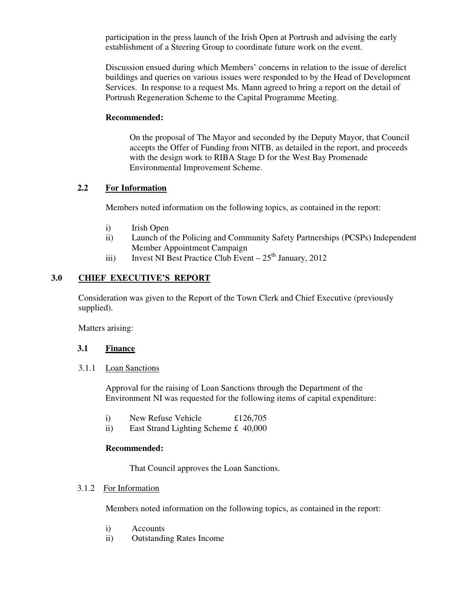participation in the press launch of the Irish Open at Portrush and advising the early establishment of a Steering Group to coordinate future work on the event.

Discussion ensued during which Members' concerns in relation to the issue of derelict buildings and queries on various issues were responded to by the Head of Development Services. In response to a request Ms. Mann agreed to bring a report on the detail of Portrush Regeneration Scheme to the Capital Programme Meeting.

### **Recommended:**

On the proposal of The Mayor and seconded by the Deputy Mayor, that Council accepts the Offer of Funding from NITB, as detailed in the report, and proceeds with the design work to RIBA Stage D for the West Bay Promenade Environmental Improvement Scheme.

# **2.2 For Information**

Members noted information on the following topics, as contained in the report:

- i) Irish Open
- ii) Launch of the Policing and Community Safety Partnerships (PCSPs) Independent Member Appointment Campaign
- iii) Invest NI Best Practice Club Event  $-25<sup>th</sup>$  January, 2012

# **3.0 CHIEF EXECUTIVE'S REPORT**

 Consideration was given to the Report of the Town Clerk and Chief Executive (previously supplied).

Matters arising:

#### **3.1 Finance**

3.1.1 Loan Sanctions

Approval for the raising of Loan Sanctions through the Department of the Environment NI was requested for the following items of capital expenditure:

- i) New Refuse Vehicle £126,705
- ii) East Strand Lighting Scheme £ 40,000

#### **Recommended:**

That Council approves the Loan Sanctions.

# 3.1.2 For Information

Members noted information on the following topics, as contained in the report:

- i) Accounts
- ii) Outstanding Rates Income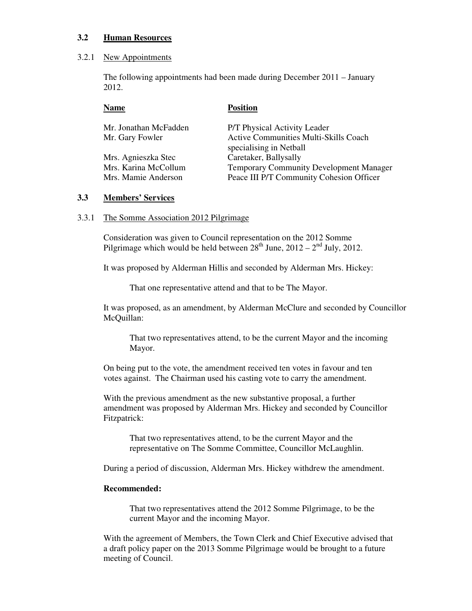#### **3.2 Human Resources**

#### 3.2.1 New Appointments

The following appointments had been made during December 2011 – January 2012.

| Name                  | <b>Position</b>                                |
|-----------------------|------------------------------------------------|
| Mr. Jonathan McFadden | P/T Physical Activity Leader                   |
| Mr. Gary Fowler       | <b>Active Communities Multi-Skills Coach</b>   |
|                       | specialising in Netball                        |
| Mrs. Agnieszka Stec   | Caretaker, Ballysally                          |
| Mrs. Karina McCollum  | <b>Temporary Community Development Manager</b> |
| Mrs. Mamie Anderson   | Peace III P/T Community Cohesion Officer       |
|                       |                                                |

#### **3.3 Members' Services**

#### 3.3.1 The Somme Association 2012 Pilgrimage

 Consideration was given to Council representation on the 2012 Somme Pilgrimage which would be held between  $28<sup>th</sup>$  June,  $2012 - 2<sup>nd</sup>$  July,  $2012$ .

It was proposed by Alderman Hillis and seconded by Alderman Mrs. Hickey:

That one representative attend and that to be The Mayor.

It was proposed, as an amendment, by Alderman McClure and seconded by Councillor McQuillan:

That two representatives attend, to be the current Mayor and the incoming Mayor.

 On being put to the vote, the amendment received ten votes in favour and ten votes against. The Chairman used his casting vote to carry the amendment.

With the previous amendment as the new substantive proposal, a further amendment was proposed by Alderman Mrs. Hickey and seconded by Councillor Fitzpatrick:

 That two representatives attend, to be the current Mayor and the representative on The Somme Committee, Councillor McLaughlin.

During a period of discussion, Alderman Mrs. Hickey withdrew the amendment.

#### **Recommended:**

 That two representatives attend the 2012 Somme Pilgrimage, to be the current Mayor and the incoming Mayor.

 With the agreement of Members, the Town Clerk and Chief Executive advised that a draft policy paper on the 2013 Somme Pilgrimage would be brought to a future meeting of Council.